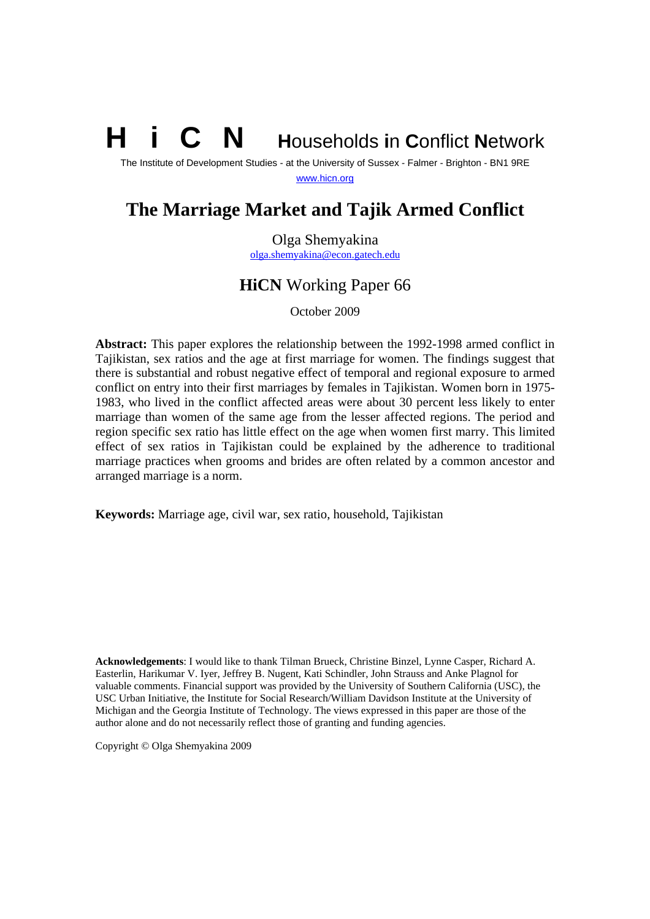# **N** Households in Conflict Network

The Institute of Development Studies - at the University of Sussex - Falmer - Brighton - BN1 9RE www.hicn.org

# **The Marriage Market and Tajik Armed Conflict**

Olga Shemyakina olga.shemyakina@econ.gatech.edu

# **HiCN** Working Paper 66

October 2009

**Abstract:** This paper explores the relationship between the 1992-1998 armed conflict in Tajikistan, sex ratios and the age at first marriage for women. The findings suggest that there is substantial and robust negative effect of temporal and regional exposure to armed conflict on entry into their first marriages by females in Tajikistan. Women born in 1975- 1983, who lived in the conflict affected areas were about 30 percent less likely to enter marriage than women of the same age from the lesser affected regions. The period and region specific sex ratio has little effect on the age when women first marry. This limited effect of sex ratios in Tajikistan could be explained by the adherence to traditional marriage practices when grooms and brides are often related by a common ancestor and arranged marriage is a norm.

**Keywords:** Marriage age, civil war, sex ratio, household, Tajikistan

**Acknowledgements**: I would like to thank Tilman Brueck, Christine Binzel, Lynne Casper, Richard A. Easterlin, Harikumar V. Iyer, Jeffrey B. Nugent, Kati Schindler, John Strauss and Anke Plagnol for valuable comments. Financial support was provided by the University of Southern California (USC), the USC Urban Initiative, the Institute for Social Research/William Davidson Institute at the University of Michigan and the Georgia Institute of Technology. The views expressed in this paper are those of the author alone and do not necessarily reflect those of granting and funding agencies.

Copyright © Olga Shemyakina 2009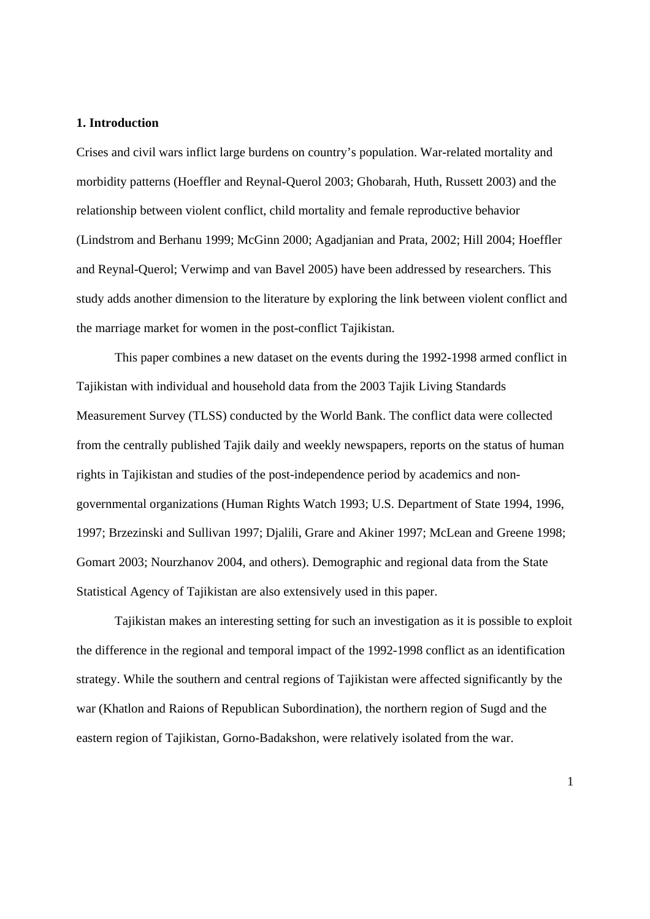#### **1. Introduction**

Crises and civil wars inflict large burdens on country's population. War-related mortality and morbidity patterns (Hoeffler and Reynal-Querol 2003; Ghobarah, Huth, Russett 2003) and the relationship between violent conflict, child mortality and female reproductive behavior (Lindstrom and Berhanu 1999; McGinn 2000; Agadjanian and Prata, 2002; Hill 2004; Hoeffler and Reynal-Querol; Verwimp and van Bavel 2005) have been addressed by researchers. This study adds another dimension to the literature by exploring the link between violent conflict and the marriage market for women in the post-conflict Tajikistan.

This paper combines a new dataset on the events during the 1992-1998 armed conflict in Tajikistan with individual and household data from the 2003 Tajik Living Standards Measurement Survey (TLSS) conducted by the World Bank. The conflict data were collected from the centrally published Tajik daily and weekly newspapers, reports on the status of human rights in Tajikistan and studies of the post-independence period by academics and nongovernmental organizations (Human Rights Watch 1993; U.S. Department of State 1994, 1996, 1997; Brzezinski and Sullivan 1997; Djalili, Grare and Akiner 1997; McLean and Greene 1998; Gomart 2003; Nourzhanov 2004, and others). Demographic and regional data from the State Statistical Agency of Tajikistan are also extensively used in this paper.

Tajikistan makes an interesting setting for such an investigation as it is possible to exploit the difference in the regional and temporal impact of the 1992-1998 conflict as an identification strategy. While the southern and central regions of Tajikistan were affected significantly by the war (Khatlon and Raions of Republican Subordination), the northern region of Sugd and the eastern region of Tajikistan, Gorno-Badakshon, were relatively isolated from the war.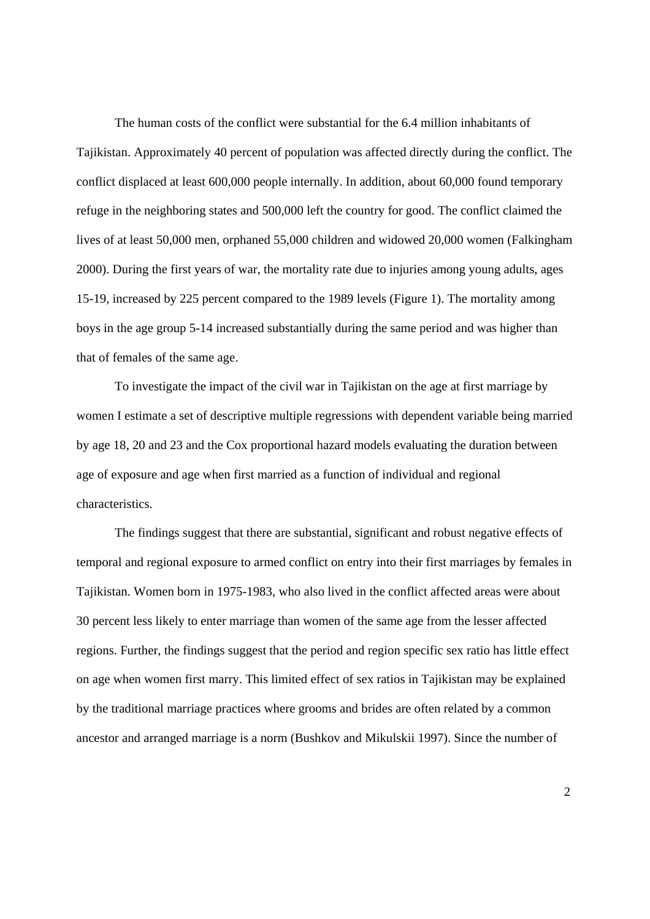The human costs of the conflict were substantial for the 6.4 million inhabitants of Tajikistan. Approximately 40 percent of population was affected directly during the conflict. The conflict displaced at least 600,000 people internally. In addition, about 60,000 found temporary refuge in the neighboring states and 500,000 left the country for good. The conflict claimed the lives of at least 50,000 men, orphaned 55,000 children and widowed 20,000 women (Falkingham 2000). During the first years of war, the mortality rate due to injuries among young adults, ages 15-19, increased by 225 percent compared to the 1989 levels (Figure 1). The mortality among boys in the age group 5-14 increased substantially during the same period and was higher than that of females of the same age.

To investigate the impact of the civil war in Tajikistan on the age at first marriage by women I estimate a set of descriptive multiple regressions with dependent variable being married by age 18, 20 and 23 and the Cox proportional hazard models evaluating the duration between age of exposure and age when first married as a function of individual and regional characteristics.

 The findings suggest that there are substantial, significant and robust negative effects of temporal and regional exposure to armed conflict on entry into their first marriages by females in Tajikistan. Women born in 1975-1983, who also lived in the conflict affected areas were about 30 percent less likely to enter marriage than women of the same age from the lesser affected regions. Further, the findings suggest that the period and region specific sex ratio has little effect on age when women first marry. This limited effect of sex ratios in Tajikistan may be explained by the traditional marriage practices where grooms and brides are often related by a common ancestor and arranged marriage is a norm (Bushkov and Mikulskii 1997). Since the number of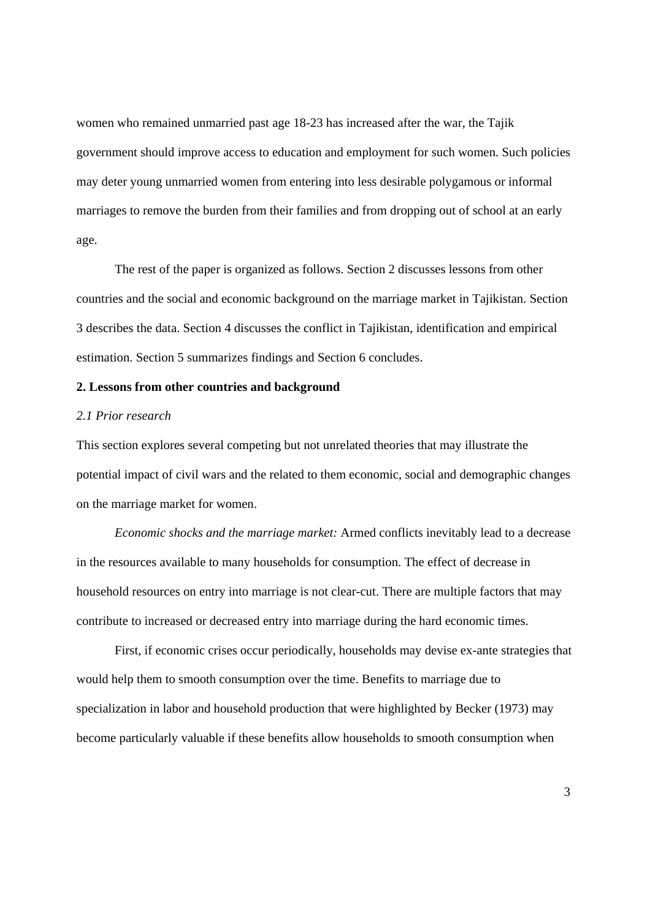women who remained unmarried past age 18-23 has increased after the war, the Tajik government should improve access to education and employment for such women. Such policies may deter young unmarried women from entering into less desirable polygamous or informal marriages to remove the burden from their families and from dropping out of school at an early age.

 The rest of the paper is organized as follows. Section 2 discusses lessons from other countries and the social and economic background on the marriage market in Tajikistan. Section 3 describes the data. Section 4 discusses the conflict in Tajikistan, identification and empirical estimation. Section 5 summarizes findings and Section 6 concludes.

# **2. Lessons from other countries and background**

#### *2.1 Prior research*

This section explores several competing but not unrelated theories that may illustrate the potential impact of civil wars and the related to them economic, social and demographic changes on the marriage market for women.

*Economic shocks and the marriage market:* Armed conflicts inevitably lead to a decrease in the resources available to many households for consumption. The effect of decrease in household resources on entry into marriage is not clear-cut. There are multiple factors that may contribute to increased or decreased entry into marriage during the hard economic times.

 First, if economic crises occur periodically, households may devise ex-ante strategies that would help them to smooth consumption over the time. Benefits to marriage due to specialization in labor and household production that were highlighted by Becker (1973) may become particularly valuable if these benefits allow households to smooth consumption when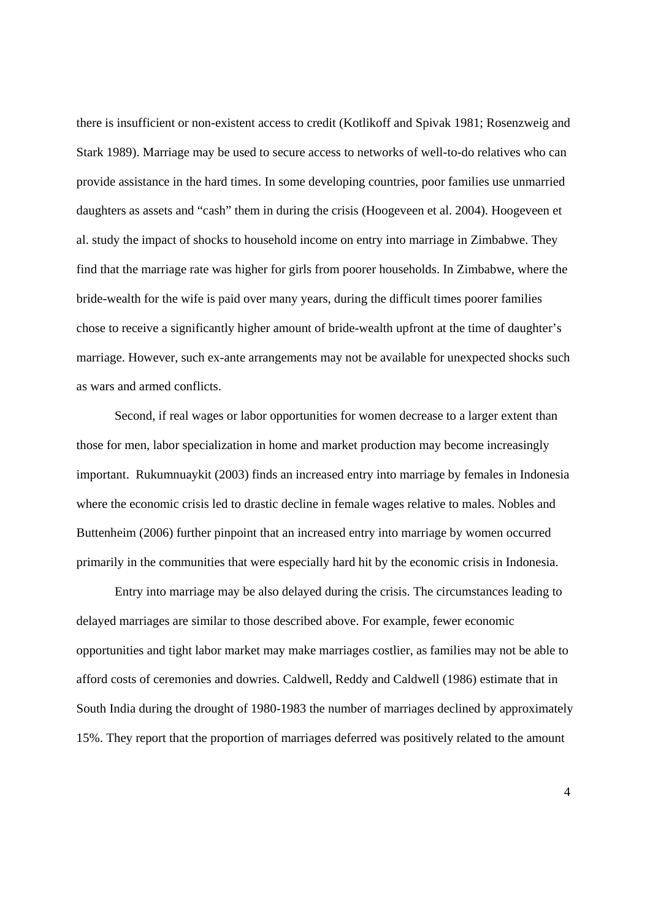there is insufficient or non-existent access to credit (Kotlikoff and Spivak 1981; Rosenzweig and Stark 1989). Marriage may be used to secure access to networks of well-to-do relatives who can provide assistance in the hard times. In some developing countries, poor families use unmarried daughters as assets and "cash" them in during the crisis (Hoogeveen et al. 2004). Hoogeveen et al. study the impact of shocks to household income on entry into marriage in Zimbabwe. They find that the marriage rate was higher for girls from poorer households. In Zimbabwe, where the bride-wealth for the wife is paid over many years, during the difficult times poorer families chose to receive a significantly higher amount of bride-wealth upfront at the time of daughter's marriage. However, such ex-ante arrangements may not be available for unexpected shocks such as wars and armed conflicts.

 Second, if real wages or labor opportunities for women decrease to a larger extent than those for men, labor specialization in home and market production may become increasingly important. Rukumnuaykit (2003) finds an increased entry into marriage by females in Indonesia where the economic crisis led to drastic decline in female wages relative to males. Nobles and Buttenheim (2006) further pinpoint that an increased entry into marriage by women occurred primarily in the communities that were especially hard hit by the economic crisis in Indonesia.

 Entry into marriage may be also delayed during the crisis. The circumstances leading to delayed marriages are similar to those described above. For example, fewer economic opportunities and tight labor market may make marriages costlier, as families may not be able to afford costs of ceremonies and dowries. Caldwell, Reddy and Caldwell (1986) estimate that in South India during the drought of 1980-1983 the number of marriages declined by approximately 15%. They report that the proportion of marriages deferred was positively related to the amount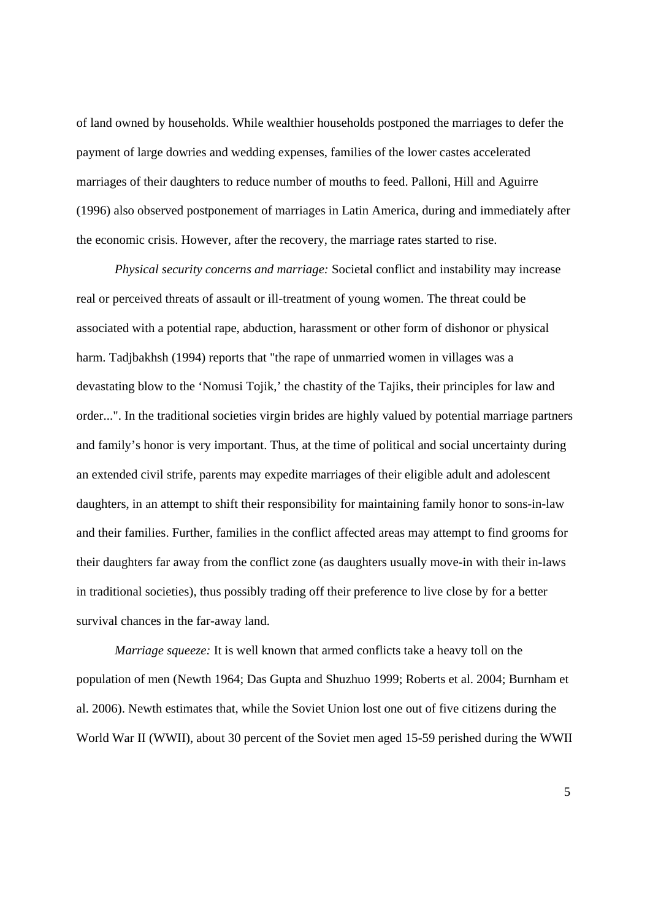of land owned by households. While wealthier households postponed the marriages to defer the payment of large dowries and wedding expenses, families of the lower castes accelerated marriages of their daughters to reduce number of mouths to feed. Palloni, Hill and Aguirre (1996) also observed postponement of marriages in Latin America, during and immediately after the economic crisis. However, after the recovery, the marriage rates started to rise.

*Physical security concerns and marriage:* Societal conflict and instability may increase real or perceived threats of assault or ill-treatment of young women. The threat could be associated with a potential rape, abduction, harassment or other form of dishonor or physical harm. Tadjbakhsh (1994) reports that "the rape of unmarried women in villages was a devastating blow to the 'Nomusi Tojik,' the chastity of the Tajiks, their principles for law and order...". In the traditional societies virgin brides are highly valued by potential marriage partners and family's honor is very important. Thus, at the time of political and social uncertainty during an extended civil strife, parents may expedite marriages of their eligible adult and adolescent daughters, in an attempt to shift their responsibility for maintaining family honor to sons-in-law and their families. Further, families in the conflict affected areas may attempt to find grooms for their daughters far away from the conflict zone (as daughters usually move-in with their in-laws in traditional societies), thus possibly trading off their preference to live close by for a better survival chances in the far-away land.

*Marriage squeeze:* It is well known that armed conflicts take a heavy toll on the population of men (Newth 1964; Das Gupta and Shuzhuo 1999; Roberts et al. 2004; Burnham et al. 2006). Newth estimates that, while the Soviet Union lost one out of five citizens during the World War II (WWII), about 30 percent of the Soviet men aged 15-59 perished during the WWII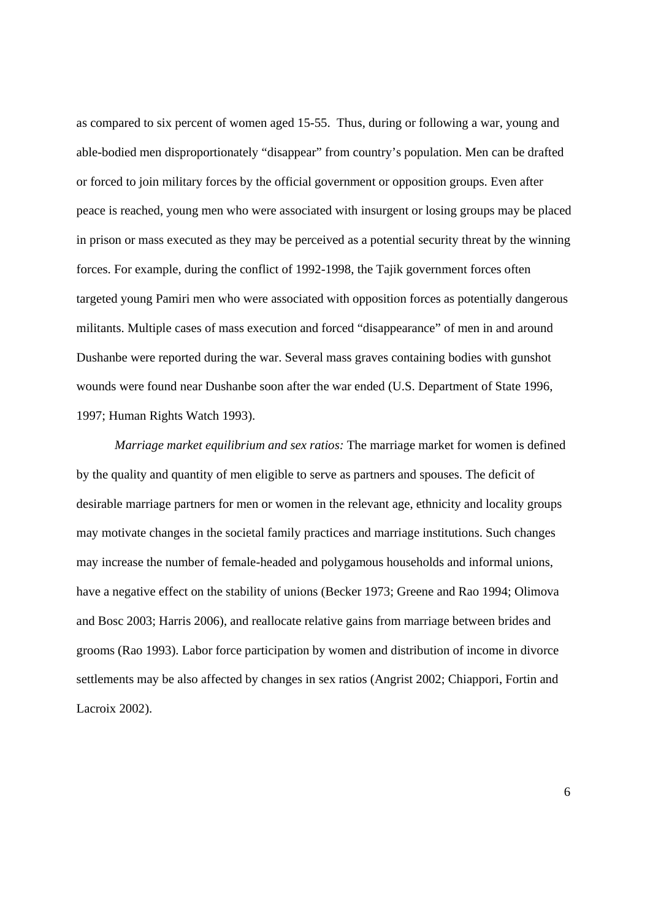as compared to six percent of women aged 15-55. Thus, during or following a war, young and able-bodied men disproportionately "disappear" from country's population. Men can be drafted or forced to join military forces by the official government or opposition groups. Even after peace is reached, young men who were associated with insurgent or losing groups may be placed in prison or mass executed as they may be perceived as a potential security threat by the winning forces. For example, during the conflict of 1992-1998, the Tajik government forces often targeted young Pamiri men who were associated with opposition forces as potentially dangerous militants. Multiple cases of mass execution and forced "disappearance" of men in and around Dushanbe were reported during the war. Several mass graves containing bodies with gunshot wounds were found near Dushanbe soon after the war ended (U.S. Department of State 1996, 1997; Human Rights Watch 1993).

*Marriage market equilibrium and sex ratios:* The marriage market for women is defined by the quality and quantity of men eligible to serve as partners and spouses. The deficit of desirable marriage partners for men or women in the relevant age, ethnicity and locality groups may motivate changes in the societal family practices and marriage institutions. Such changes may increase the number of female-headed and polygamous households and informal unions, have a negative effect on the stability of unions (Becker 1973; Greene and Rao 1994; Olimova and Bosc 2003; Harris 2006), and reallocate relative gains from marriage between brides and grooms (Rao 1993). Labor force participation by women and distribution of income in divorce settlements may be also affected by changes in sex ratios (Angrist 2002; Chiappori, Fortin and Lacroix 2002).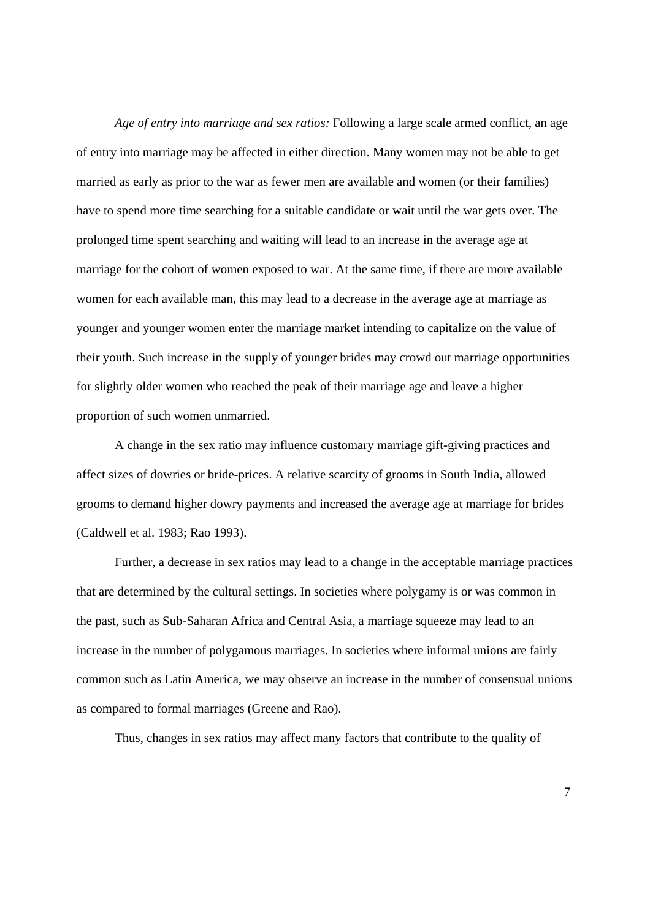*Age of entry into marriage and sex ratios:* Following a large scale armed conflict, an age of entry into marriage may be affected in either direction. Many women may not be able to get married as early as prior to the war as fewer men are available and women (or their families) have to spend more time searching for a suitable candidate or wait until the war gets over. The prolonged time spent searching and waiting will lead to an increase in the average age at marriage for the cohort of women exposed to war. At the same time, if there are more available women for each available man, this may lead to a decrease in the average age at marriage as younger and younger women enter the marriage market intending to capitalize on the value of their youth. Such increase in the supply of younger brides may crowd out marriage opportunities for slightly older women who reached the peak of their marriage age and leave a higher proportion of such women unmarried.

 A change in the sex ratio may influence customary marriage gift-giving practices and affect sizes of dowries or bride-prices. A relative scarcity of grooms in South India, allowed grooms to demand higher dowry payments and increased the average age at marriage for brides (Caldwell et al. 1983; Rao 1993).

 Further, a decrease in sex ratios may lead to a change in the acceptable marriage practices that are determined by the cultural settings. In societies where polygamy is or was common in the past, such as Sub-Saharan Africa and Central Asia, a marriage squeeze may lead to an increase in the number of polygamous marriages. In societies where informal unions are fairly common such as Latin America, we may observe an increase in the number of consensual unions as compared to formal marriages (Greene and Rao).

Thus, changes in sex ratios may affect many factors that contribute to the quality of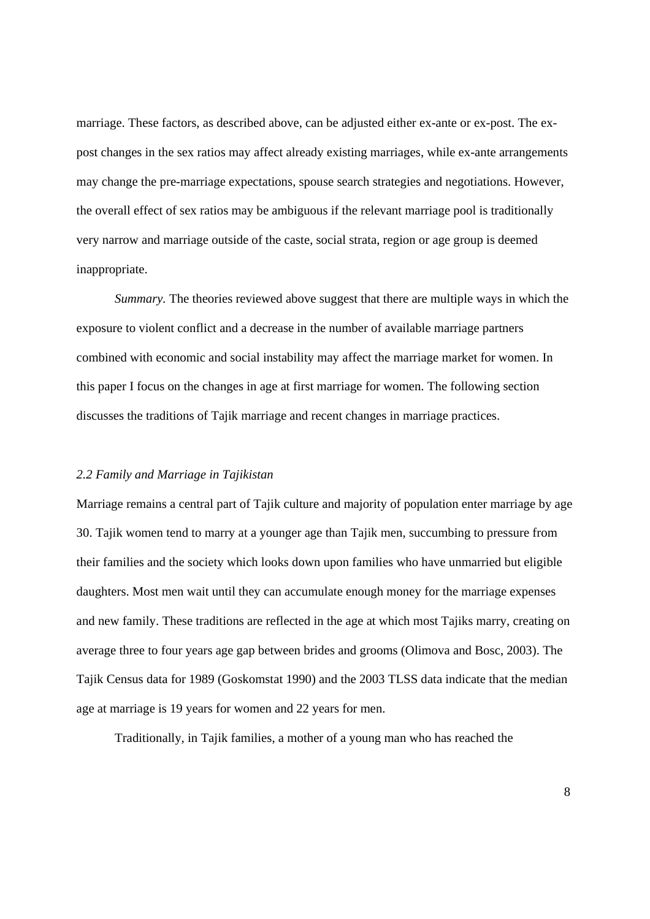marriage. These factors, as described above, can be adjusted either ex-ante or ex-post. The expost changes in the sex ratios may affect already existing marriages, while ex-ante arrangements may change the pre-marriage expectations, spouse search strategies and negotiations. However, the overall effect of sex ratios may be ambiguous if the relevant marriage pool is traditionally very narrow and marriage outside of the caste, social strata, region or age group is deemed inappropriate.

*Summary.* The theories reviewed above suggest that there are multiple ways in which the exposure to violent conflict and a decrease in the number of available marriage partners combined with economic and social instability may affect the marriage market for women. In this paper I focus on the changes in age at first marriage for women. The following section discusses the traditions of Tajik marriage and recent changes in marriage practices.

#### *2.2 Family and Marriage in Tajikistan*

Marriage remains a central part of Tajik culture and majority of population enter marriage by age 30. Tajik women tend to marry at a younger age than Tajik men, succumbing to pressure from their families and the society which looks down upon families who have unmarried but eligible daughters. Most men wait until they can accumulate enough money for the marriage expenses and new family. These traditions are reflected in the age at which most Tajiks marry, creating on average three to four years age gap between brides and grooms (Olimova and Bosc, 2003). The Tajik Census data for 1989 (Goskomstat 1990) and the 2003 TLSS data indicate that the median age at marriage is 19 years for women and 22 years for men.

Traditionally, in Tajik families, a mother of a young man who has reached the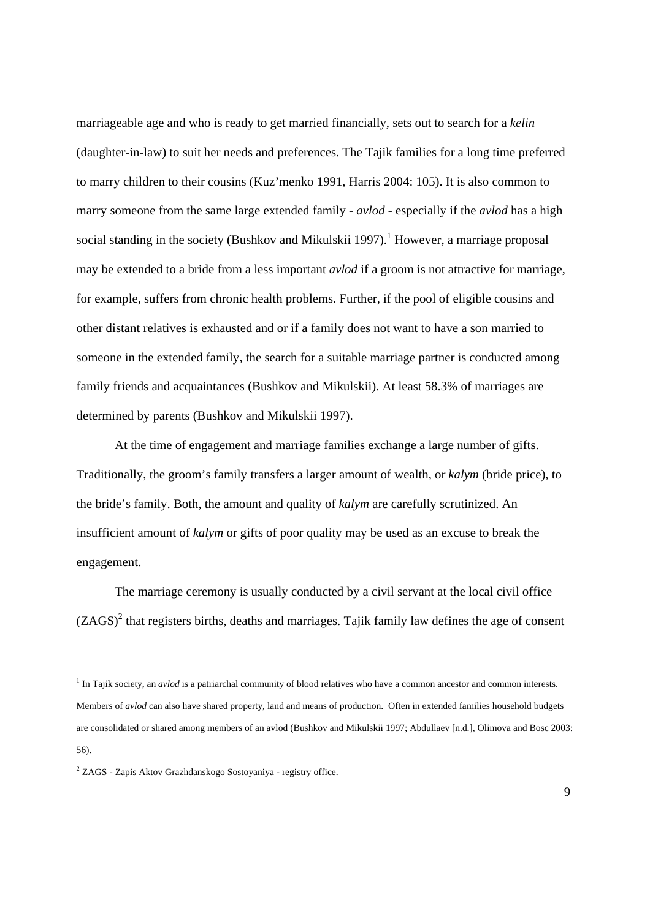marriageable age and who is ready to get married financially, sets out to search for a *kelin* (daughter-in-law) to suit her needs and preferences. The Tajik families for a long time preferred to marry children to their cousins (Kuz'menko 1991, Harris 2004: 105). It is also common to marry someone from the same large extended family - *avlod* - especially if the *avlod* has a high social standing in the society (Bushkov and Mikulskii 1997).<sup>1</sup> However, a marriage proposal may be extended to a bride from a less important *avlod* if a groom is not attractive for marriage, for example, suffers from chronic health problems. Further, if the pool of eligible cousins and other distant relatives is exhausted and or if a family does not want to have a son married to someone in the extended family, the search for a suitable marriage partner is conducted among family friends and acquaintances (Bushkov and Mikulskii). At least 58.3% of marriages are determined by parents (Bushkov and Mikulskii 1997).

At the time of engagement and marriage families exchange a large number of gifts. Traditionally, the groom's family transfers a larger amount of wealth, or *kalym* (bride price), to the bride's family. Both, the amount and quality of *kalym* are carefully scrutinized. An insufficient amount of *kalym* or gifts of poor quality may be used as an excuse to break the engagement.

 The marriage ceremony is usually conducted by a civil servant at the local civil office  $(ZAGS)^2$  that registers births, deaths and marriages. Tajik family law defines the age of consent

-

<sup>&</sup>lt;sup>1</sup> In Tajik society, an *avlod* is a patriarchal community of blood relatives who have a common ancestor and common interests. Members of *avlod* can also have shared property, land and means of production. Often in extended families household budgets are consolidated or shared among members of an avlod (Bushkov and Mikulskii 1997; Abdullaev [n.d.], Olimova and Bosc 2003: 56).

<sup>&</sup>lt;sup>2</sup> ZAGS - Zapis Aktov Grazhdanskogo Sostoyaniya - registry office.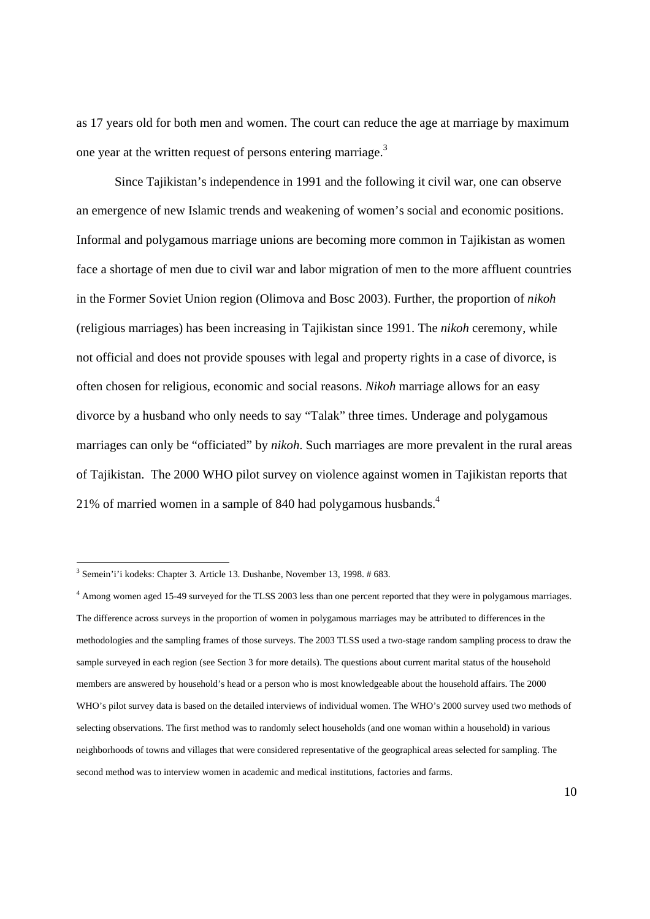as 17 years old for both men and women. The court can reduce the age at marriage by maximum one year at the written request of persons entering marriage.<sup>3</sup>

 Since Tajikistan's independence in 1991 and the following it civil war, one can observe an emergence of new Islamic trends and weakening of women's social and economic positions. Informal and polygamous marriage unions are becoming more common in Tajikistan as women face a shortage of men due to civil war and labor migration of men to the more affluent countries in the Former Soviet Union region (Olimova and Bosc 2003). Further, the proportion of *nikoh* (religious marriages) has been increasing in Tajikistan since 1991. The *nikoh* ceremony, while not official and does not provide spouses with legal and property rights in a case of divorce, is often chosen for religious, economic and social reasons. *Nikoh* marriage allows for an easy divorce by a husband who only needs to say "Talak" three times. Underage and polygamous marriages can only be "officiated" by *nikoh*. Such marriages are more prevalent in the rural areas of Tajikistan. The 2000 WHO pilot survey on violence against women in Tajikistan reports that 21% of married women in a sample of 840 had polygamous husbands. $4$ 

<sup>&</sup>lt;sup>3</sup> Semein'i'i kodeks: Chapter 3. Article 13. Dushanbe, November 13, 1998. # 683.

<sup>4</sup> Among women aged 15-49 surveyed for the TLSS 2003 less than one percent reported that they were in polygamous marriages. The difference across surveys in the proportion of women in polygamous marriages may be attributed to differences in the methodologies and the sampling frames of those surveys. The 2003 TLSS used a two-stage random sampling process to draw the sample surveyed in each region (see Section 3 for more details). The questions about current marital status of the household members are answered by household's head or a person who is most knowledgeable about the household affairs. The 2000 WHO's pilot survey data is based on the detailed interviews of individual women. The WHO's 2000 survey used two methods of selecting observations. The first method was to randomly select households (and one woman within a household) in various neighborhoods of towns and villages that were considered representative of the geographical areas selected for sampling. The second method was to interview women in academic and medical institutions, factories and farms.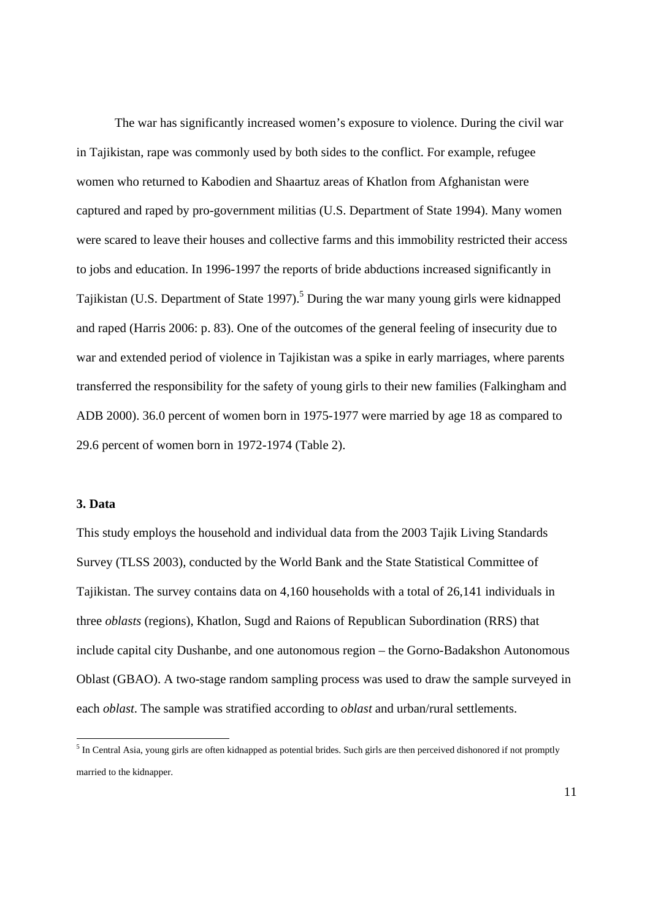The war has significantly increased women's exposure to violence. During the civil war in Tajikistan, rape was commonly used by both sides to the conflict. For example, refugee women who returned to Kabodien and Shaartuz areas of Khatlon from Afghanistan were captured and raped by pro-government militias (U.S. Department of State 1994). Many women were scared to leave their houses and collective farms and this immobility restricted their access to jobs and education. In 1996-1997 the reports of bride abductions increased significantly in Tajikistan (U.S. Department of State 1997).<sup>5</sup> During the war many young girls were kidnapped and raped (Harris 2006: p. 83). One of the outcomes of the general feeling of insecurity due to war and extended period of violence in Tajikistan was a spike in early marriages, where parents transferred the responsibility for the safety of young girls to their new families (Falkingham and ADB 2000). 36.0 percent of women born in 1975-1977 were married by age 18 as compared to 29.6 percent of women born in 1972-1974 (Table 2).

# **3. Data**

-

This study employs the household and individual data from the 2003 Tajik Living Standards Survey (TLSS 2003), conducted by the World Bank and the State Statistical Committee of Tajikistan. The survey contains data on 4,160 households with a total of 26,141 individuals in three *oblasts* (regions), Khatlon, Sugd and Raions of Republican Subordination (RRS) that include capital city Dushanbe, and one autonomous region – the Gorno-Badakshon Autonomous Oblast (GBAO). A two-stage random sampling process was used to draw the sample surveyed in each *oblast*. The sample was stratified according to *oblast* and urban/rural settlements.

 $<sup>5</sup>$  In Central Asia, young girls are often kidnapped as potential brides. Such girls are then perceived dishonored if not promptly</sup> married to the kidnapper.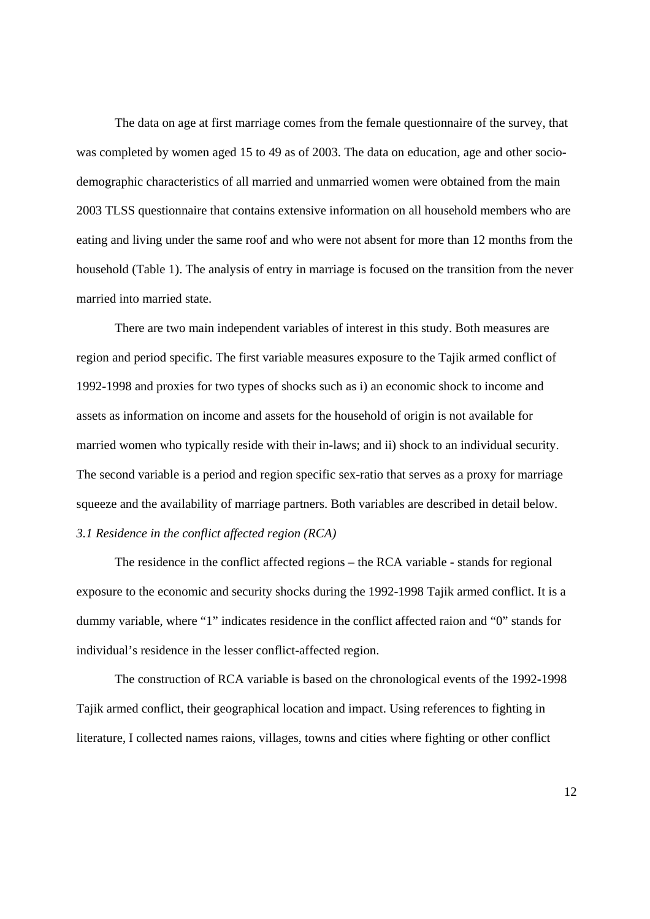The data on age at first marriage comes from the female questionnaire of the survey, that was completed by women aged 15 to 49 as of 2003. The data on education, age and other sociodemographic characteristics of all married and unmarried women were obtained from the main 2003 TLSS questionnaire that contains extensive information on all household members who are eating and living under the same roof and who were not absent for more than 12 months from the household (Table 1). The analysis of entry in marriage is focused on the transition from the never married into married state.

There are two main independent variables of interest in this study. Both measures are region and period specific. The first variable measures exposure to the Tajik armed conflict of 1992-1998 and proxies for two types of shocks such as i) an economic shock to income and assets as information on income and assets for the household of origin is not available for married women who typically reside with their in-laws; and ii) shock to an individual security. The second variable is a period and region specific sex-ratio that serves as a proxy for marriage squeeze and the availability of marriage partners. Both variables are described in detail below. *3.1 Residence in the conflict affected region (RCA)* 

The residence in the conflict affected regions – the RCA variable - stands for regional exposure to the economic and security shocks during the 1992-1998 Tajik armed conflict. It is a dummy variable, where "1" indicates residence in the conflict affected raion and "0" stands for individual's residence in the lesser conflict-affected region.

 The construction of RCA variable is based on the chronological events of the 1992-1998 Tajik armed conflict, their geographical location and impact. Using references to fighting in literature, I collected names raions, villages, towns and cities where fighting or other conflict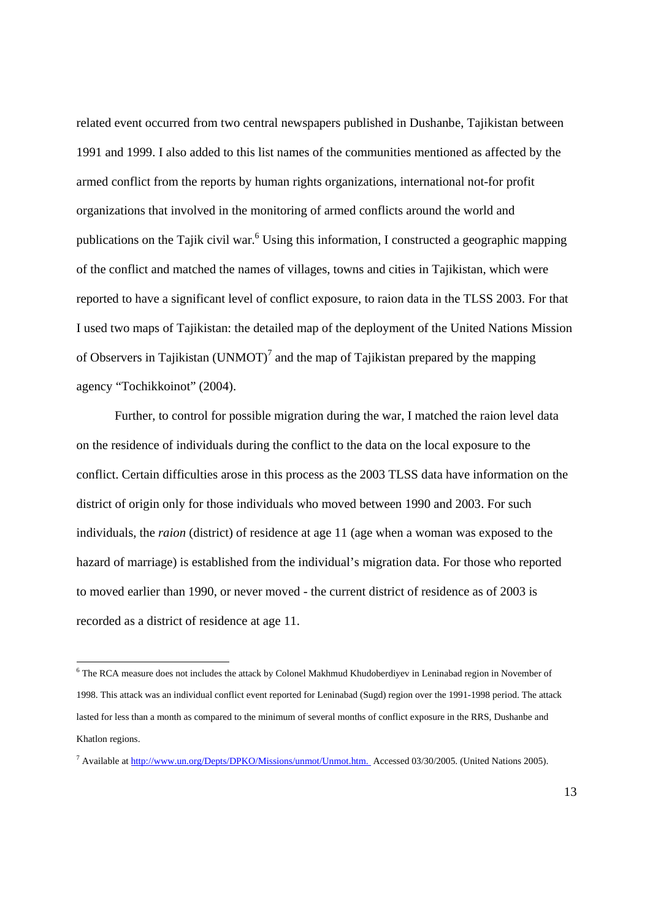related event occurred from two central newspapers published in Dushanbe, Tajikistan between 1991 and 1999. I also added to this list names of the communities mentioned as affected by the armed conflict from the reports by human rights organizations, international not-for profit organizations that involved in the monitoring of armed conflicts around the world and publications on the Tajik civil war.<sup>6</sup> Using this information, I constructed a geographic mapping of the conflict and matched the names of villages, towns and cities in Tajikistan, which were reported to have a significant level of conflict exposure, to raion data in the TLSS 2003. For that I used two maps of Tajikistan: the detailed map of the deployment of the United Nations Mission of Observers in Tajikistan (UNMOT)<sup>7</sup> and the map of Tajikistan prepared by the mapping agency "Tochikkoinot" (2004).

 Further, to control for possible migration during the war, I matched the raion level data on the residence of individuals during the conflict to the data on the local exposure to the conflict. Certain difficulties arose in this process as the 2003 TLSS data have information on the district of origin only for those individuals who moved between 1990 and 2003. For such individuals, the *raion* (district) of residence at age 11 (age when a woman was exposed to the hazard of marriage) is established from the individual's migration data. For those who reported to moved earlier than 1990, or never moved - the current district of residence as of 2003 is recorded as a district of residence at age 11.

-

<sup>&</sup>lt;sup>6</sup> The RCA measure does not includes the attack by Colonel Makhmud Khudoberdiyev in Leninabad region in November of 1998. This attack was an individual conflict event reported for Leninabad (Sugd) region over the 1991-1998 period. The attack lasted for less than a month as compared to the minimum of several months of conflict exposure in the RRS, Dushanbe and Khatlon regions.

<sup>&</sup>lt;sup>7</sup> Available at http://www.un.org/Depts/DPKO/Missions/unmot/Unmot.htm. Accessed 03/30/2005. (United Nations 2005).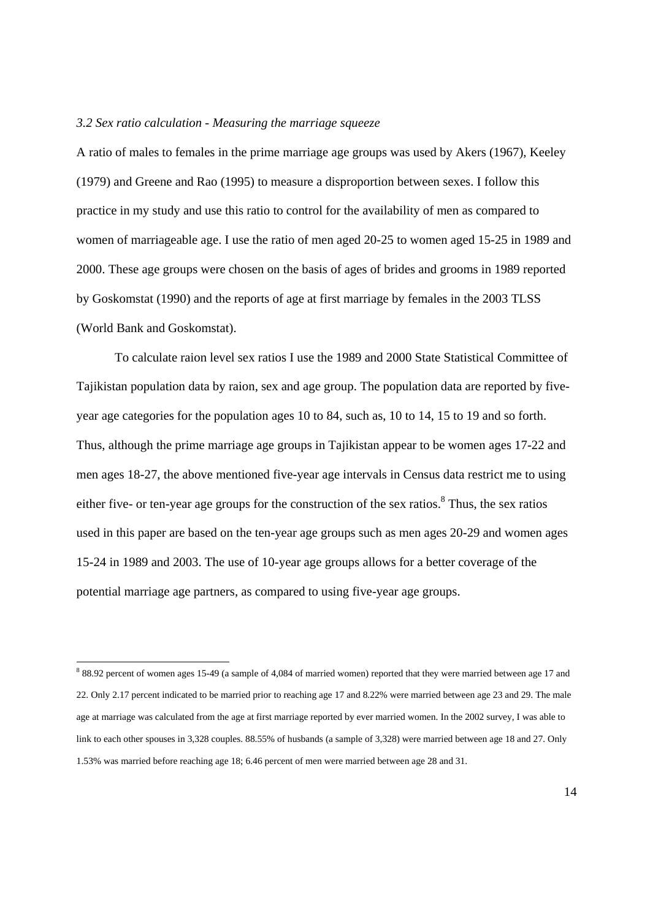#### *3.2 Sex ratio calculation - Measuring the marriage squeeze*

A ratio of males to females in the prime marriage age groups was used by Akers (1967), Keeley (1979) and Greene and Rao (1995) to measure a disproportion between sexes. I follow this practice in my study and use this ratio to control for the availability of men as compared to women of marriageable age. I use the ratio of men aged 20-25 to women aged 15-25 in 1989 and 2000. These age groups were chosen on the basis of ages of brides and grooms in 1989 reported by Goskomstat (1990) and the reports of age at first marriage by females in the 2003 TLSS (World Bank and Goskomstat).

 To calculate raion level sex ratios I use the 1989 and 2000 State Statistical Committee of Tajikistan population data by raion, sex and age group. The population data are reported by fiveyear age categories for the population ages 10 to 84, such as, 10 to 14, 15 to 19 and so forth. Thus, although the prime marriage age groups in Tajikistan appear to be women ages 17-22 and men ages 18-27, the above mentioned five-year age intervals in Census data restrict me to using either five- or ten-year age groups for the construction of the sex ratios.<sup>8</sup> Thus, the sex ratios used in this paper are based on the ten-year age groups such as men ages 20-29 and women ages 15-24 in 1989 and 2003. The use of 10-year age groups allows for a better coverage of the potential marriage age partners, as compared to using five-year age groups.

-

<sup>88.92</sup> percent of women ages 15-49 (a sample of 4,084 of married women) reported that they were married between age 17 and 22. Only 2.17 percent indicated to be married prior to reaching age 17 and 8.22% were married between age 23 and 29. The male age at marriage was calculated from the age at first marriage reported by ever married women. In the 2002 survey, I was able to link to each other spouses in 3,328 couples. 88.55% of husbands (a sample of 3,328) were married between age 18 and 27. Only 1.53% was married before reaching age 18; 6.46 percent of men were married between age 28 and 31.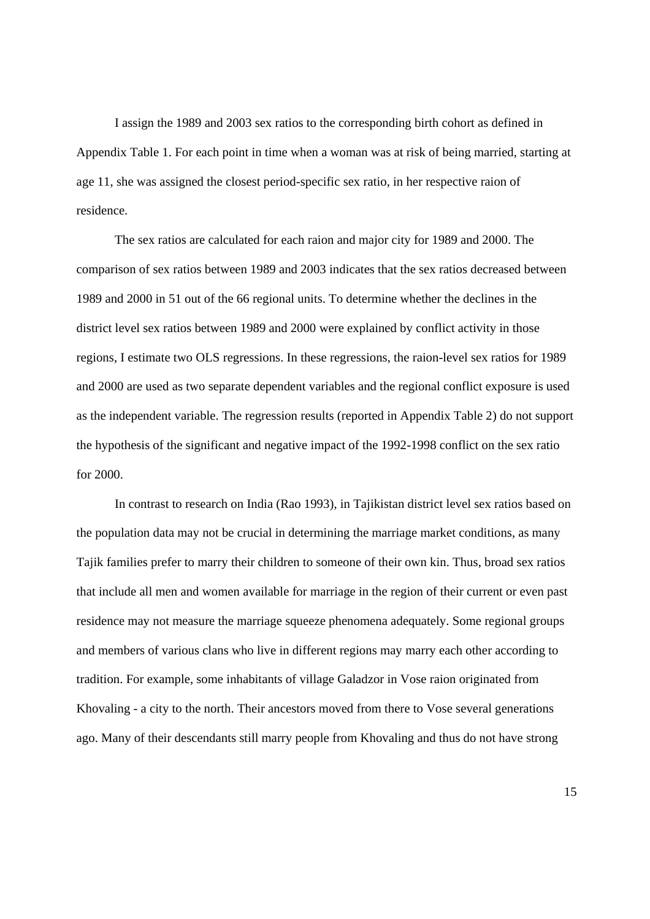I assign the 1989 and 2003 sex ratios to the corresponding birth cohort as defined in Appendix Table 1. For each point in time when a woman was at risk of being married, starting at age 11, she was assigned the closest period-specific sex ratio, in her respective raion of residence.

The sex ratios are calculated for each raion and major city for 1989 and 2000. The comparison of sex ratios between 1989 and 2003 indicates that the sex ratios decreased between 1989 and 2000 in 51 out of the 66 regional units. To determine whether the declines in the district level sex ratios between 1989 and 2000 were explained by conflict activity in those regions, I estimate two OLS regressions. In these regressions, the raion-level sex ratios for 1989 and 2000 are used as two separate dependent variables and the regional conflict exposure is used as the independent variable. The regression results (reported in Appendix Table 2) do not support the hypothesis of the significant and negative impact of the 1992-1998 conflict on the sex ratio for 2000.

In contrast to research on India (Rao 1993), in Tajikistan district level sex ratios based on the population data may not be crucial in determining the marriage market conditions, as many Tajik families prefer to marry their children to someone of their own kin. Thus, broad sex ratios that include all men and women available for marriage in the region of their current or even past residence may not measure the marriage squeeze phenomena adequately. Some regional groups and members of various clans who live in different regions may marry each other according to tradition. For example, some inhabitants of village Galadzor in Vose raion originated from Khovaling - a city to the north. Their ancestors moved from there to Vose several generations ago. Many of their descendants still marry people from Khovaling and thus do not have strong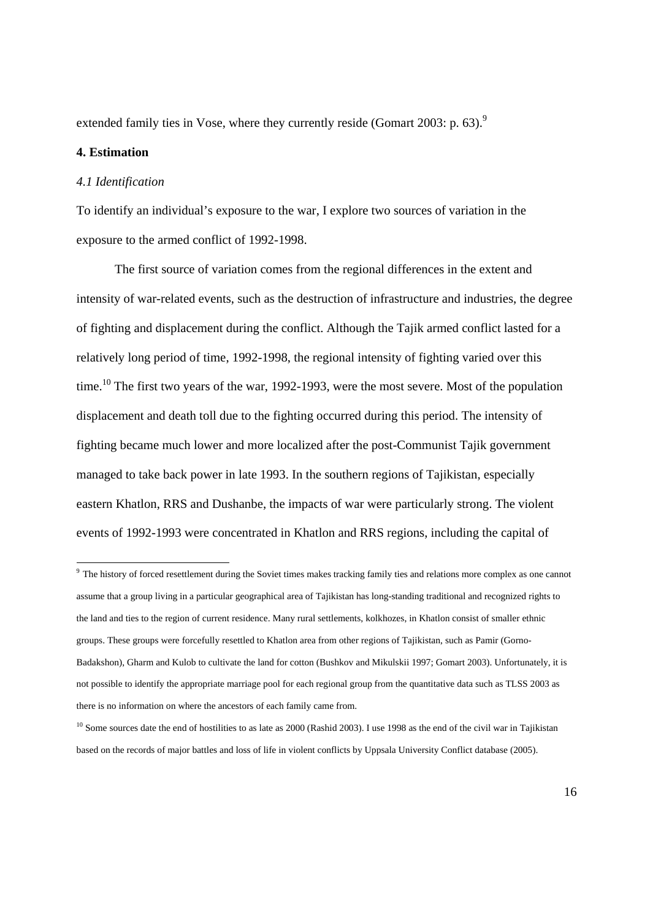extended family ties in Vose, where they currently reside (Gomart 2003: p. 63).<sup>9</sup>

# **4. Estimation**

1

#### *4.1 Identification*

To identify an individual's exposure to the war, I explore two sources of variation in the exposure to the armed conflict of 1992-1998.

The first source of variation comes from the regional differences in the extent and intensity of war-related events, such as the destruction of infrastructure and industries, the degree of fighting and displacement during the conflict. Although the Tajik armed conflict lasted for a relatively long period of time, 1992-1998, the regional intensity of fighting varied over this time.<sup>10</sup> The first two years of the war, 1992-1993, were the most severe. Most of the population displacement and death toll due to the fighting occurred during this period. The intensity of fighting became much lower and more localized after the post-Communist Tajik government managed to take back power in late 1993. In the southern regions of Tajikistan, especially eastern Khatlon, RRS and Dushanbe, the impacts of war were particularly strong. The violent events of 1992-1993 were concentrated in Khatlon and RRS regions, including the capital of

<sup>&</sup>lt;sup>9</sup> The history of forced resettlement during the Soviet times makes tracking family ties and relations more complex as one cannot assume that a group living in a particular geographical area of Tajikistan has long-standing traditional and recognized rights to the land and ties to the region of current residence. Many rural settlements, kolkhozes, in Khatlon consist of smaller ethnic groups. These groups were forcefully resettled to Khatlon area from other regions of Tajikistan, such as Pamir (Gorno-Badakshon), Gharm and Kulob to cultivate the land for cotton (Bushkov and Mikulskii 1997; Gomart 2003). Unfortunately, it is not possible to identify the appropriate marriage pool for each regional group from the quantitative data such as TLSS 2003 as there is no information on where the ancestors of each family came from.

<sup>&</sup>lt;sup>10</sup> Some sources date the end of hostilities to as late as 2000 (Rashid 2003). I use 1998 as the end of the civil war in Tajikistan based on the records of major battles and loss of life in violent conflicts by Uppsala University Conflict database (2005).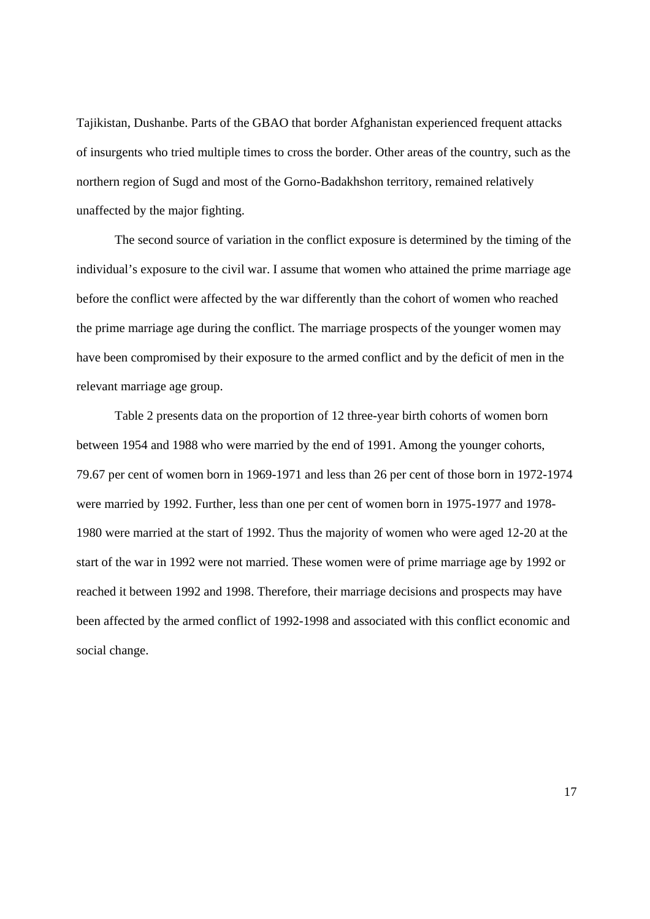Tajikistan, Dushanbe. Parts of the GBAO that border Afghanistan experienced frequent attacks of insurgents who tried multiple times to cross the border. Other areas of the country, such as the northern region of Sugd and most of the Gorno-Badakhshon territory, remained relatively unaffected by the major fighting.

 The second source of variation in the conflict exposure is determined by the timing of the individual's exposure to the civil war. I assume that women who attained the prime marriage age before the conflict were affected by the war differently than the cohort of women who reached the prime marriage age during the conflict. The marriage prospects of the younger women may have been compromised by their exposure to the armed conflict and by the deficit of men in the relevant marriage age group.

 Table 2 presents data on the proportion of 12 three-year birth cohorts of women born between 1954 and 1988 who were married by the end of 1991. Among the younger cohorts, 79.67 per cent of women born in 1969-1971 and less than 26 per cent of those born in 1972-1974 were married by 1992. Further, less than one per cent of women born in 1975-1977 and 1978- 1980 were married at the start of 1992. Thus the majority of women who were aged 12-20 at the start of the war in 1992 were not married. These women were of prime marriage age by 1992 or reached it between 1992 and 1998. Therefore, their marriage decisions and prospects may have been affected by the armed conflict of 1992-1998 and associated with this conflict economic and social change.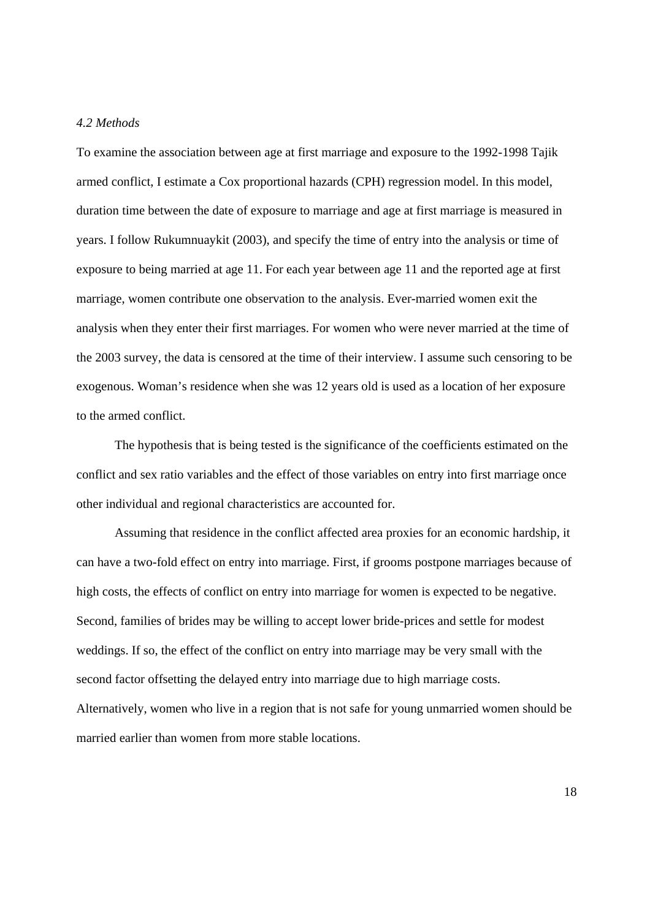# *4.2 Methods*

To examine the association between age at first marriage and exposure to the 1992-1998 Tajik armed conflict, I estimate a Cox proportional hazards (CPH) regression model. In this model, duration time between the date of exposure to marriage and age at first marriage is measured in years. I follow Rukumnuaykit (2003), and specify the time of entry into the analysis or time of exposure to being married at age 11. For each year between age 11 and the reported age at first marriage, women contribute one observation to the analysis. Ever-married women exit the analysis when they enter their first marriages. For women who were never married at the time of the 2003 survey, the data is censored at the time of their interview. I assume such censoring to be exogenous. Woman's residence when she was 12 years old is used as a location of her exposure to the armed conflict.

 The hypothesis that is being tested is the significance of the coefficients estimated on the conflict and sex ratio variables and the effect of those variables on entry into first marriage once other individual and regional characteristics are accounted for.

 Assuming that residence in the conflict affected area proxies for an economic hardship, it can have a two-fold effect on entry into marriage. First, if grooms postpone marriages because of high costs, the effects of conflict on entry into marriage for women is expected to be negative. Second, families of brides may be willing to accept lower bride-prices and settle for modest weddings. If so, the effect of the conflict on entry into marriage may be very small with the second factor offsetting the delayed entry into marriage due to high marriage costs. Alternatively, women who live in a region that is not safe for young unmarried women should be married earlier than women from more stable locations.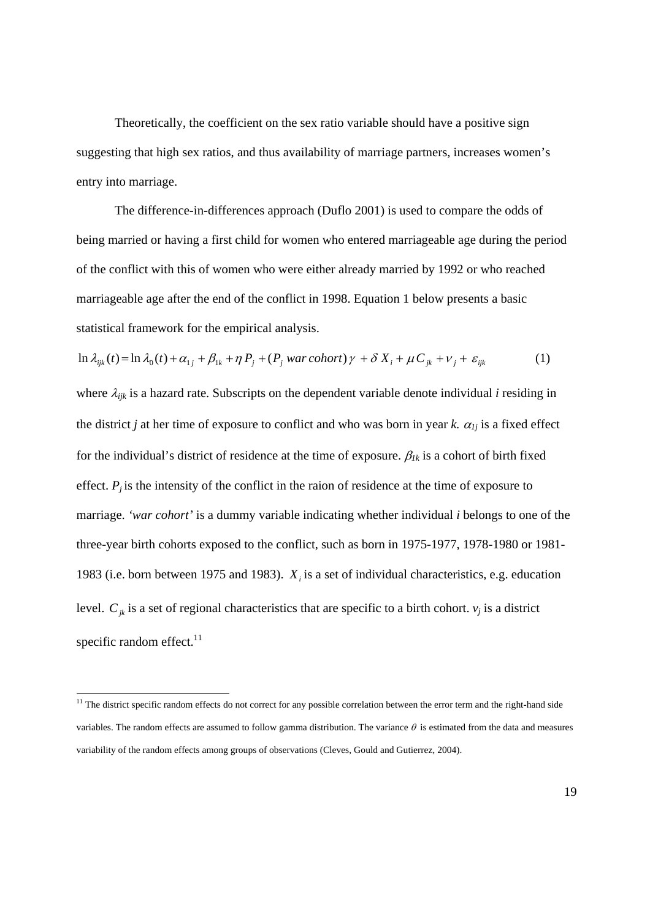Theoretically, the coefficient on the sex ratio variable should have a positive sign suggesting that high sex ratios, and thus availability of marriage partners, increases women's entry into marriage.

 The difference-in-differences approach (Duflo 2001) is used to compare the odds of being married or having a first child for women who entered marriageable age during the period of the conflict with this of women who were either already married by 1992 or who reached marriageable age after the end of the conflict in 1998. Equation 1 below presents a basic statistical framework for the empirical analysis.

$$
\ln \lambda_{ijk}(t) = \ln \lambda_0(t) + \alpha_{1j} + \beta_{1k} + \eta P_j + (P_j \text{ war cohort})\gamma + \delta X_i + \mu C_{jk} + \nu_j + \varepsilon_{ijk} \tag{1}
$$

where λ*ijk* is a hazard rate. Subscripts on the dependent variable denote individual *i* residing in the district *j* at her time of exposure to conflict and who was born in year *k*.  $\alpha_{1j}$  is a fixed effect for the individual's district of residence at the time of exposure.  $\beta_{1k}$  is a cohort of birth fixed effect.  $P_i$  is the intensity of the conflict in the raion of residence at the time of exposure to marriage. *'war cohort'* is a dummy variable indicating whether individual *i* belongs to one of the three-year birth cohorts exposed to the conflict, such as born in 1975-1977, 1978-1980 or 1981- 1983 (i.e. born between 1975 and 1983).  $X_i$  is a set of individual characteristics, e.g. education level.  $C_{jk}$  is a set of regional characteristics that are specific to a birth cohort.  $v_j$  is a district specific random effect.<sup>11</sup>

 $\overline{a}$ 

 $11$  The district specific random effects do not correct for any possible correlation between the error term and the right-hand side variables. The random effects are assumed to follow gamma distribution. The variance  $\theta$  is estimated from the data and measures variability of the random effects among groups of observations (Cleves, Gould and Gutierrez, 2004).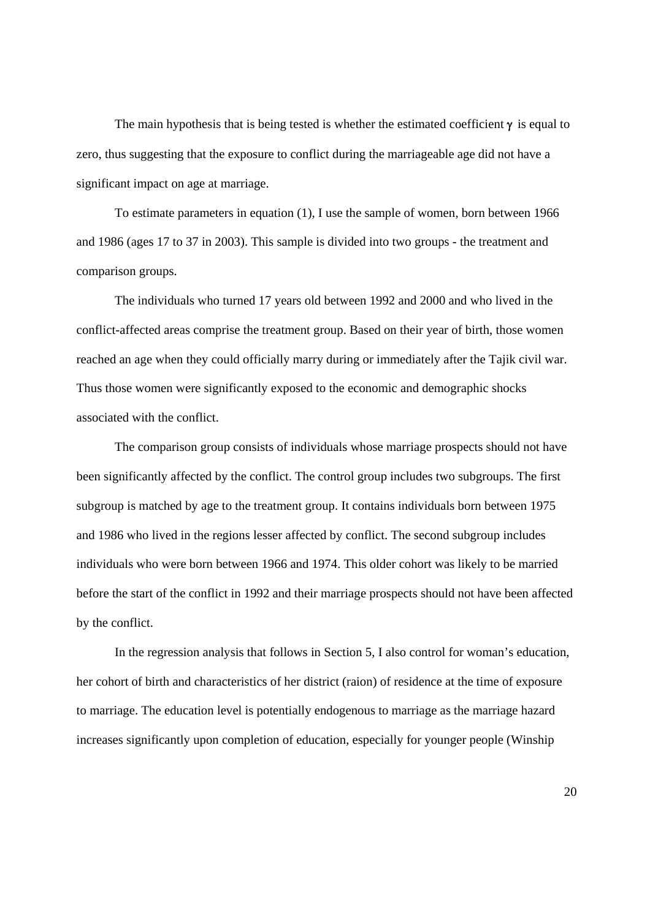The main hypothesis that is being tested is whether the estimated coefficient  $\gamma$  is equal to zero, thus suggesting that the exposure to conflict during the marriageable age did not have a significant impact on age at marriage.

 To estimate parameters in equation (1), I use the sample of women, born between 1966 and 1986 (ages 17 to 37 in 2003). This sample is divided into two groups - the treatment and comparison groups.

 The individuals who turned 17 years old between 1992 and 2000 and who lived in the conflict-affected areas comprise the treatment group. Based on their year of birth, those women reached an age when they could officially marry during or immediately after the Tajik civil war. Thus those women were significantly exposed to the economic and demographic shocks associated with the conflict.

The comparison group consists of individuals whose marriage prospects should not have been significantly affected by the conflict. The control group includes two subgroups. The first subgroup is matched by age to the treatment group. It contains individuals born between 1975 and 1986 who lived in the regions lesser affected by conflict. The second subgroup includes individuals who were born between 1966 and 1974. This older cohort was likely to be married before the start of the conflict in 1992 and their marriage prospects should not have been affected by the conflict.

In the regression analysis that follows in Section 5, I also control for woman's education, her cohort of birth and characteristics of her district (raion) of residence at the time of exposure to marriage. The education level is potentially endogenous to marriage as the marriage hazard increases significantly upon completion of education, especially for younger people (Winship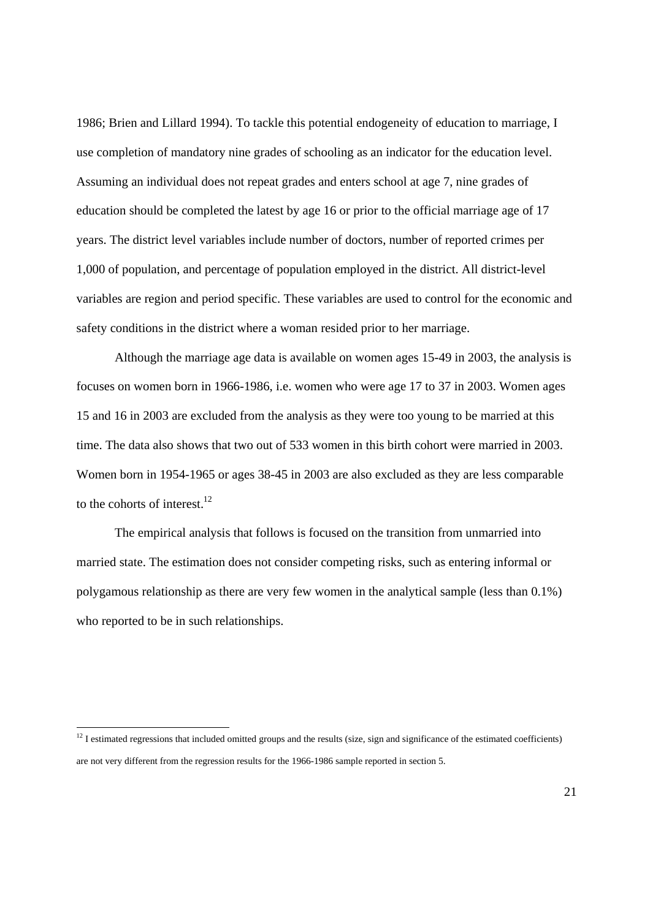1986; Brien and Lillard 1994). To tackle this potential endogeneity of education to marriage, I use completion of mandatory nine grades of schooling as an indicator for the education level. Assuming an individual does not repeat grades and enters school at age 7, nine grades of education should be completed the latest by age 16 or prior to the official marriage age of 17 years. The district level variables include number of doctors, number of reported crimes per 1,000 of population, and percentage of population employed in the district. All district-level variables are region and period specific. These variables are used to control for the economic and safety conditions in the district where a woman resided prior to her marriage.

Although the marriage age data is available on women ages 15-49 in 2003, the analysis is focuses on women born in 1966-1986, i.e. women who were age 17 to 37 in 2003. Women ages 15 and 16 in 2003 are excluded from the analysis as they were too young to be married at this time. The data also shows that two out of 533 women in this birth cohort were married in 2003. Women born in 1954-1965 or ages 38-45 in 2003 are also excluded as they are less comparable to the cohorts of interest.<sup>12</sup>

The empirical analysis that follows is focused on the transition from unmarried into married state. The estimation does not consider competing risks, such as entering informal or polygamous relationship as there are very few women in the analytical sample (less than 0.1%) who reported to be in such relationships.

 $\overline{a}$ 

 $12$  I estimated regressions that included omitted groups and the results (size, sign and significance of the estimated coefficients) are not very different from the regression results for the 1966-1986 sample reported in section 5.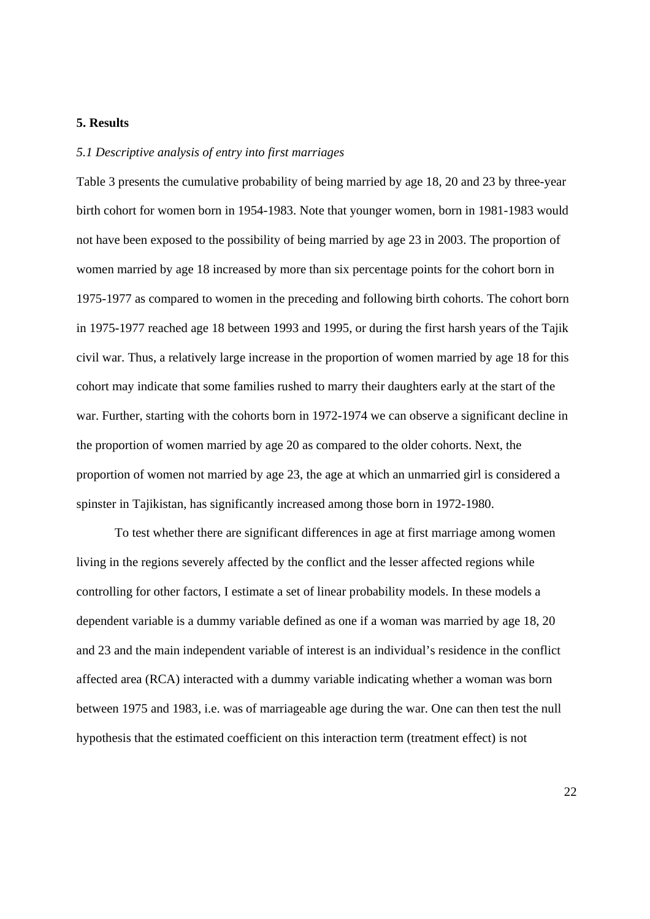# **5. Results**

# *5.1 Descriptive analysis of entry into first marriages*

Table 3 presents the cumulative probability of being married by age 18, 20 and 23 by three-year birth cohort for women born in 1954-1983. Note that younger women, born in 1981-1983 would not have been exposed to the possibility of being married by age 23 in 2003. The proportion of women married by age 18 increased by more than six percentage points for the cohort born in 1975-1977 as compared to women in the preceding and following birth cohorts. The cohort born in 1975-1977 reached age 18 between 1993 and 1995, or during the first harsh years of the Tajik civil war. Thus, a relatively large increase in the proportion of women married by age 18 for this cohort may indicate that some families rushed to marry their daughters early at the start of the war. Further, starting with the cohorts born in 1972-1974 we can observe a significant decline in the proportion of women married by age 20 as compared to the older cohorts. Next, the proportion of women not married by age 23, the age at which an unmarried girl is considered a spinster in Tajikistan, has significantly increased among those born in 1972-1980.

To test whether there are significant differences in age at first marriage among women living in the regions severely affected by the conflict and the lesser affected regions while controlling for other factors, I estimate a set of linear probability models. In these models a dependent variable is a dummy variable defined as one if a woman was married by age 18, 20 and 23 and the main independent variable of interest is an individual's residence in the conflict affected area (RCA) interacted with a dummy variable indicating whether a woman was born between 1975 and 1983, i.e. was of marriageable age during the war. One can then test the null hypothesis that the estimated coefficient on this interaction term (treatment effect) is not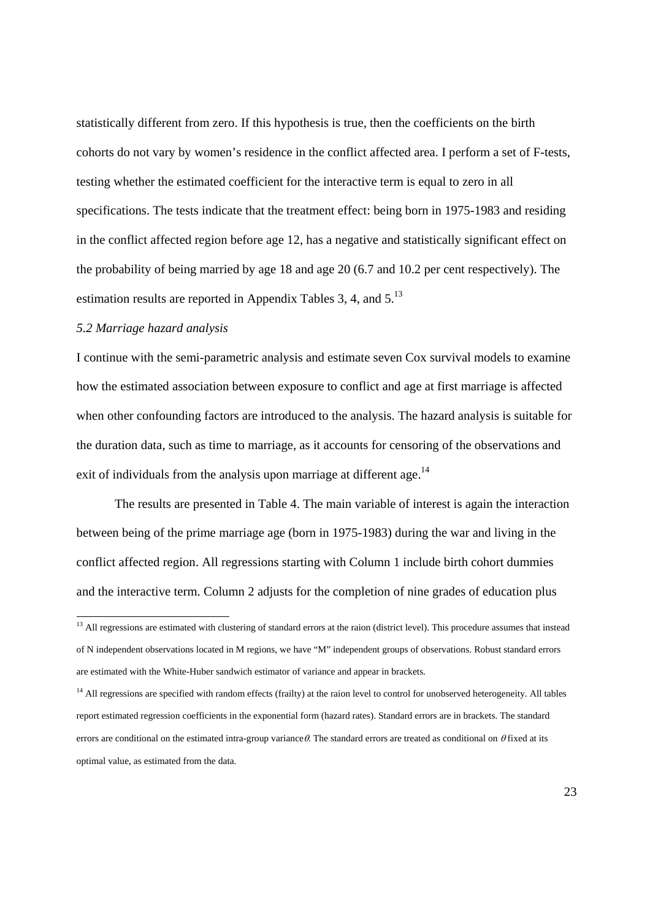statistically different from zero. If this hypothesis is true, then the coefficients on the birth cohorts do not vary by women's residence in the conflict affected area. I perform a set of F-tests, testing whether the estimated coefficient for the interactive term is equal to zero in all specifications. The tests indicate that the treatment effect: being born in 1975-1983 and residing in the conflict affected region before age 12, has a negative and statistically significant effect on the probability of being married by age 18 and age 20 (6.7 and 10.2 per cent respectively). The estimation results are reported in Appendix Tables 3, 4, and  $5^{13}$ 

# *5.2 Marriage hazard analysis*

 $\overline{a}$ 

I continue with the semi-parametric analysis and estimate seven Cox survival models to examine how the estimated association between exposure to conflict and age at first marriage is affected when other confounding factors are introduced to the analysis. The hazard analysis is suitable for the duration data, such as time to marriage, as it accounts for censoring of the observations and exit of individuals from the analysis upon marriage at different age.<sup>14</sup>

 The results are presented in Table 4. The main variable of interest is again the interaction between being of the prime marriage age (born in 1975-1983) during the war and living in the conflict affected region. All regressions starting with Column 1 include birth cohort dummies and the interactive term. Column 2 adjusts for the completion of nine grades of education plus

<sup>&</sup>lt;sup>13</sup> All regressions are estimated with clustering of standard errors at the raion (district level). This procedure assumes that instead of N independent observations located in M regions, we have "M" independent groups of observations. Robust standard errors are estimated with the White-Huber sandwich estimator of variance and appear in brackets.

<sup>&</sup>lt;sup>14</sup> All regressions are specified with random effects (frailty) at the raion level to control for unobserved heterogeneity. All tables report estimated regression coefficients in the exponential form (hazard rates). Standard errors are in brackets. The standard errors are conditional on the estimated intra-group variance  $\theta$ . The standard errors are treated as conditional on  $\theta$  fixed at its optimal value, as estimated from the data.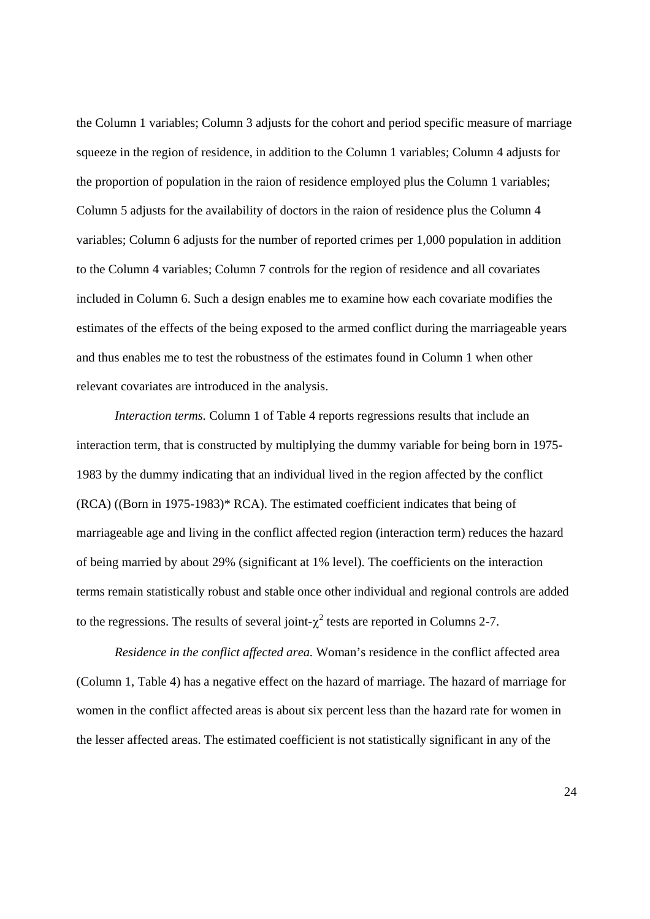the Column 1 variables; Column 3 adjusts for the cohort and period specific measure of marriage squeeze in the region of residence, in addition to the Column 1 variables; Column 4 adjusts for the proportion of population in the raion of residence employed plus the Column 1 variables; Column 5 adjusts for the availability of doctors in the raion of residence plus the Column 4 variables; Column 6 adjusts for the number of reported crimes per 1,000 population in addition to the Column 4 variables; Column 7 controls for the region of residence and all covariates included in Column 6. Such a design enables me to examine how each covariate modifies the estimates of the effects of the being exposed to the armed conflict during the marriageable years and thus enables me to test the robustness of the estimates found in Column 1 when other relevant covariates are introduced in the analysis.

*Interaction terms.* Column 1 of Table 4 reports regressions results that include an interaction term, that is constructed by multiplying the dummy variable for being born in 1975- 1983 by the dummy indicating that an individual lived in the region affected by the conflict (RCA) ((Born in 1975-1983)\* RCA). The estimated coefficient indicates that being of marriageable age and living in the conflict affected region (interaction term) reduces the hazard of being married by about 29% (significant at 1% level). The coefficients on the interaction terms remain statistically robust and stable once other individual and regional controls are added to the regressions. The results of several joint- $\chi^2$  tests are reported in Columns 2-7.

 *Residence in the conflict affected area.* Woman's residence in the conflict affected area (Column 1, Table 4) has a negative effect on the hazard of marriage. The hazard of marriage for women in the conflict affected areas is about six percent less than the hazard rate for women in the lesser affected areas. The estimated coefficient is not statistically significant in any of the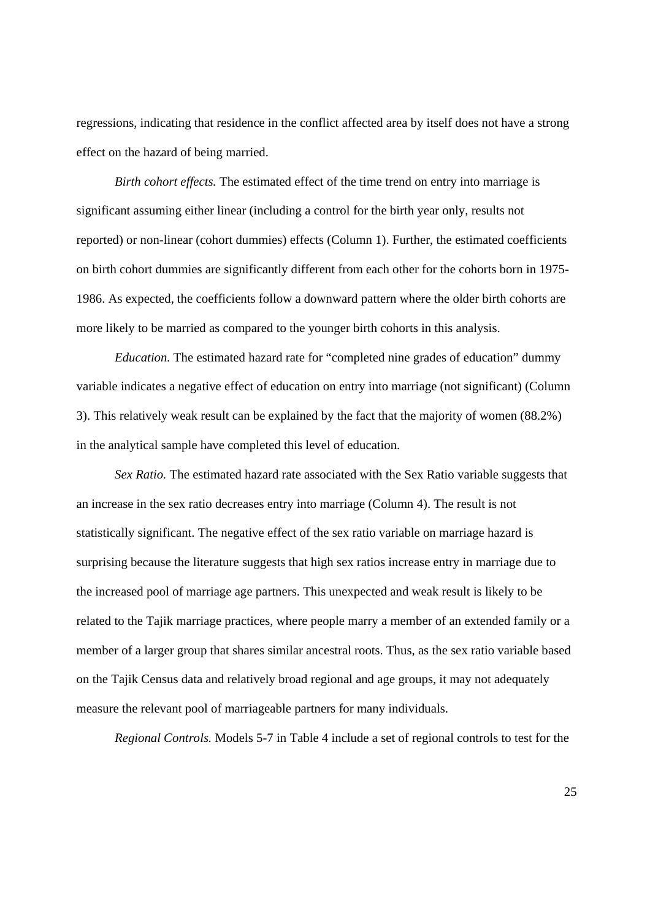regressions, indicating that residence in the conflict affected area by itself does not have a strong effect on the hazard of being married.

*Birth cohort effects.* The estimated effect of the time trend on entry into marriage is significant assuming either linear (including a control for the birth year only, results not reported) or non-linear (cohort dummies) effects (Column 1). Further, the estimated coefficients on birth cohort dummies are significantly different from each other for the cohorts born in 1975- 1986. As expected, the coefficients follow a downward pattern where the older birth cohorts are more likely to be married as compared to the younger birth cohorts in this analysis.

*Education.* The estimated hazard rate for "completed nine grades of education" dummy variable indicates a negative effect of education on entry into marriage (not significant) (Column 3). This relatively weak result can be explained by the fact that the majority of women (88.2%) in the analytical sample have completed this level of education.

*Sex Ratio.* The estimated hazard rate associated with the Sex Ratio variable suggests that an increase in the sex ratio decreases entry into marriage (Column 4). The result is not statistically significant. The negative effect of the sex ratio variable on marriage hazard is surprising because the literature suggests that high sex ratios increase entry in marriage due to the increased pool of marriage age partners. This unexpected and weak result is likely to be related to the Tajik marriage practices, where people marry a member of an extended family or a member of a larger group that shares similar ancestral roots. Thus, as the sex ratio variable based on the Tajik Census data and relatively broad regional and age groups, it may not adequately measure the relevant pool of marriageable partners for many individuals.

*Regional Controls.* Models 5-7 in Table 4 include a set of regional controls to test for the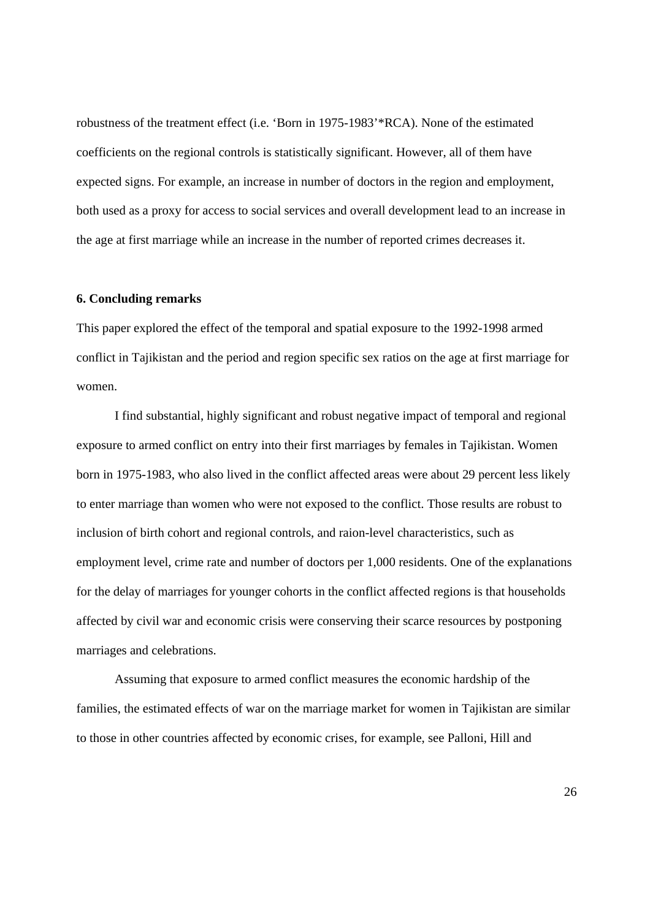robustness of the treatment effect (i.e. 'Born in 1975-1983'\*RCA). None of the estimated coefficients on the regional controls is statistically significant. However, all of them have expected signs. For example, an increase in number of doctors in the region and employment, both used as a proxy for access to social services and overall development lead to an increase in the age at first marriage while an increase in the number of reported crimes decreases it.

#### **6. Concluding remarks**

This paper explored the effect of the temporal and spatial exposure to the 1992-1998 armed conflict in Tajikistan and the period and region specific sex ratios on the age at first marriage for women.

 I find substantial, highly significant and robust negative impact of temporal and regional exposure to armed conflict on entry into their first marriages by females in Tajikistan. Women born in 1975-1983, who also lived in the conflict affected areas were about 29 percent less likely to enter marriage than women who were not exposed to the conflict. Those results are robust to inclusion of birth cohort and regional controls, and raion-level characteristics, such as employment level, crime rate and number of doctors per 1,000 residents. One of the explanations for the delay of marriages for younger cohorts in the conflict affected regions is that households affected by civil war and economic crisis were conserving their scarce resources by postponing marriages and celebrations.

Assuming that exposure to armed conflict measures the economic hardship of the families, the estimated effects of war on the marriage market for women in Tajikistan are similar to those in other countries affected by economic crises, for example, see Palloni, Hill and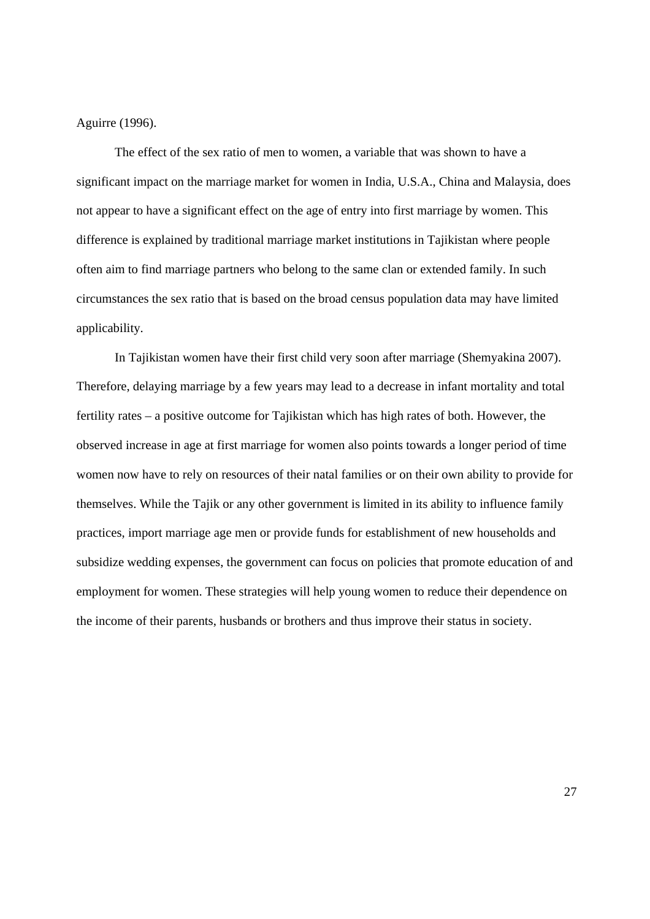Aguirre (1996).

 The effect of the sex ratio of men to women, a variable that was shown to have a significant impact on the marriage market for women in India, U.S.A., China and Malaysia, does not appear to have a significant effect on the age of entry into first marriage by women. This difference is explained by traditional marriage market institutions in Tajikistan where people often aim to find marriage partners who belong to the same clan or extended family. In such circumstances the sex ratio that is based on the broad census population data may have limited applicability.

 In Tajikistan women have their first child very soon after marriage (Shemyakina 2007). Therefore, delaying marriage by a few years may lead to a decrease in infant mortality and total fertility rates – a positive outcome for Tajikistan which has high rates of both. However, the observed increase in age at first marriage for women also points towards a longer period of time women now have to rely on resources of their natal families or on their own ability to provide for themselves. While the Tajik or any other government is limited in its ability to influence family practices, import marriage age men or provide funds for establishment of new households and subsidize wedding expenses, the government can focus on policies that promote education of and employment for women. These strategies will help young women to reduce their dependence on the income of their parents, husbands or brothers and thus improve their status in society.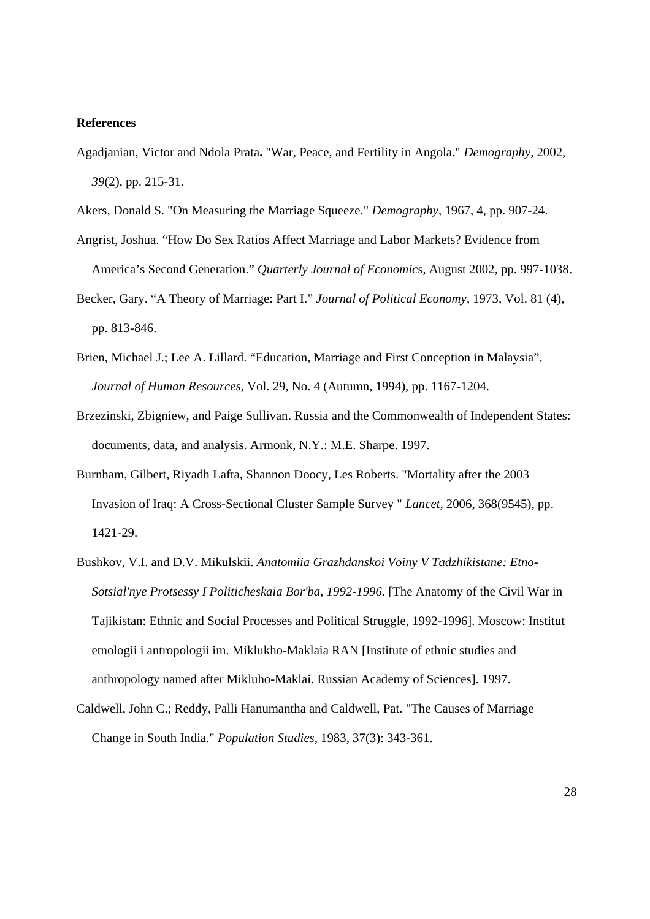#### **References**

- Agadjanian, Victor and Ndola Prata**.** "War, Peace, and Fertility in Angola." *Demography*, 2002, *39*(2), pp. 215-31.
- Akers, Donald S. "On Measuring the Marriage Squeeze." *Demography*, 1967, 4, pp. 907-24.
- Angrist, Joshua. "How Do Sex Ratios Affect Marriage and Labor Markets? Evidence from America's Second Generation." *Quarterly Journal of Economics*, August 2002, pp. 997-1038.
- Becker, Gary. "A Theory of Marriage: Part I." *Journal of Political Economy*, 1973, Vol. 81 (4), pp. 813-846.
- Brien, Michael J.; Lee A. Lillard. "Education, Marriage and First Conception in Malaysia", *Journal of Human Resources*, Vol. 29, No. 4 (Autumn, 1994), pp. 1167-1204.
- Brzezinski, Zbigniew, and Paige Sullivan. Russia and the Commonwealth of Independent States: documents, data, and analysis. Armonk, N.Y.: M.E. Sharpe. 1997.
- Burnham, Gilbert, Riyadh Lafta, Shannon Doocy, Les Roberts. "Mortality after the 2003 Invasion of Iraq: A Cross-Sectional Cluster Sample Survey " *Lancet*, 2006, 368(9545), pp. 1421-29.
- Bushkov, V.I. and D.V. Mikulskii. *Anatomiia Grazhdanskoi Voiny V Tadzhikistane: Etno-Sotsial'nye Protsessy I Politicheskaia Bor'ba, 1992-1996.* [The Anatomy of the Civil War in Tajikistan: Ethnic and Social Processes and Political Struggle, 1992-1996]. Moscow: Institut etnologii i antropologii im. Miklukho-Maklaia RAN [Institute of ethnic studies and anthropology named after Mikluho-Maklai. Russian Academy of Sciences]. 1997.
- Caldwell, John C.; Reddy, Palli Hanumantha and Caldwell, Pat. "The Causes of Marriage Change in South India." *Population Studies*, 1983, 37(3): 343-361.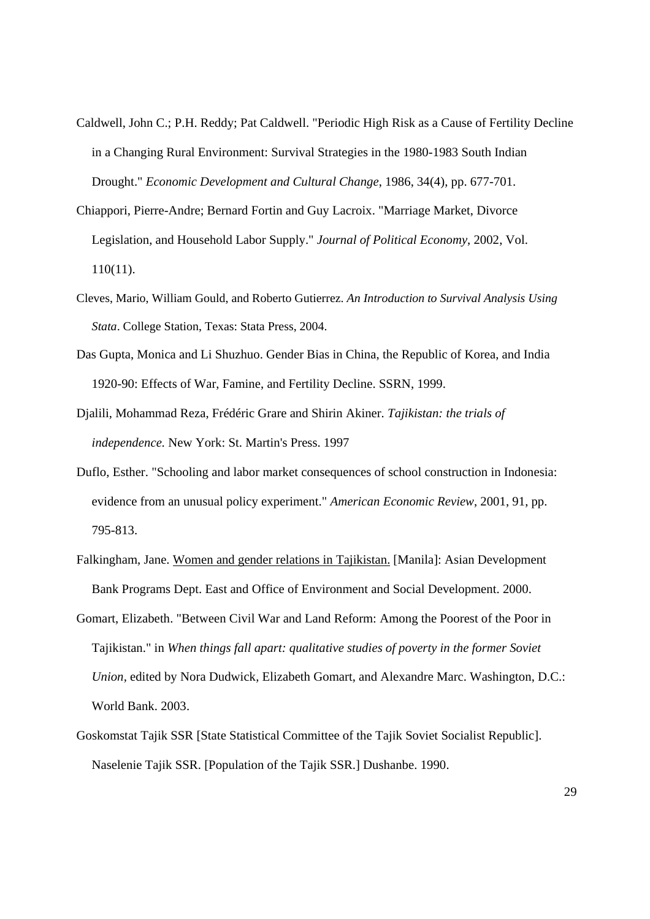- Caldwell, John C.; P.H. Reddy; Pat Caldwell. "Periodic High Risk as a Cause of Fertility Decline in a Changing Rural Environment: Survival Strategies in the 1980-1983 South Indian Drought." *Economic Development and Cultural Change*, 1986, 34(4), pp. 677-701.
- Chiappori, Pierre-Andre; Bernard Fortin and Guy Lacroix. "Marriage Market, Divorce Legislation, and Household Labor Supply." *Journal of Political Economy*, 2002, Vol. 110(11).
- Cleves, Mario, William Gould, and Roberto Gutierrez. *An Introduction to Survival Analysis Using Stata*. College Station, Texas: Stata Press, 2004.
- Das Gupta, Monica and Li Shuzhuo. Gender Bias in China, the Republic of Korea, and India 1920-90: Effects of War, Famine, and Fertility Decline. SSRN, 1999.
- Djalili, Mohammad Reza, Frédéric Grare and Shirin Akiner. *Tajikistan: the trials of independence.* New York: St. Martin's Press. 1997
- Duflo, Esther. "Schooling and labor market consequences of school construction in Indonesia: evidence from an unusual policy experiment." *American Economic Review*, 2001, 91, pp. 795-813.
- Falkingham, Jane. Women and gender relations in Tajikistan. [Manila]: Asian Development Bank Programs Dept. East and Office of Environment and Social Development. 2000.
- Gomart, Elizabeth. "Between Civil War and Land Reform: Among the Poorest of the Poor in Tajikistan." in *When things fall apart: qualitative studies of poverty in the former Soviet Union,* edited by Nora Dudwick, Elizabeth Gomart, and Alexandre Marc. Washington, D.C.: World Bank. 2003.
- Goskomstat Tajik SSR [State Statistical Committee of the Tajik Soviet Socialist Republic]. Naselenie Tajik SSR. [Population of the Tajik SSR.] Dushanbe. 1990.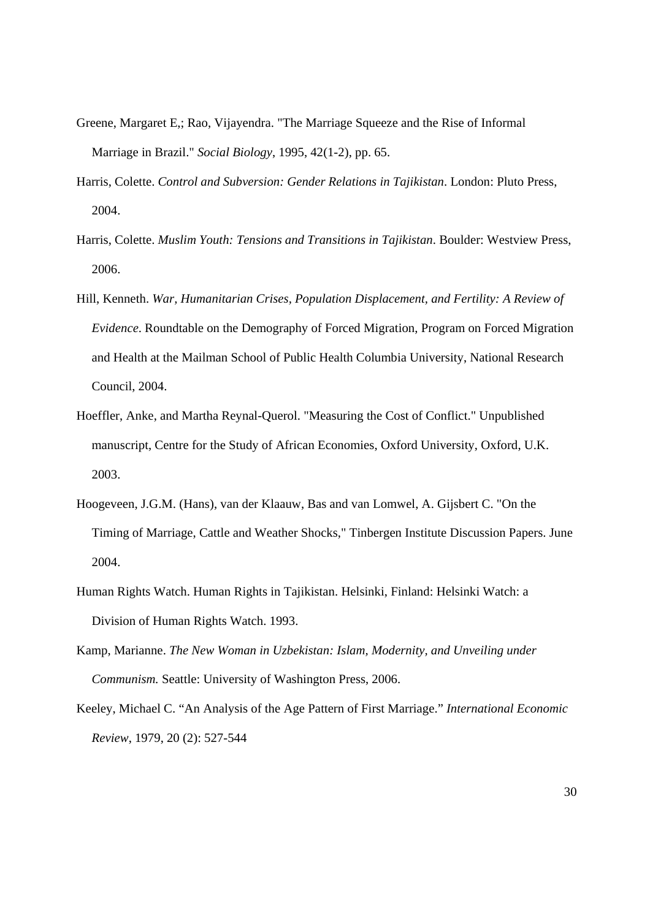- Greene, Margaret E,; Rao, Vijayendra. "The Marriage Squeeze and the Rise of Informal Marriage in Brazil." *Social Biology*, 1995, 42(1-2), pp. 65.
- Harris, Colette. *Control and Subversion: Gender Relations in Tajikistan*. London: Pluto Press, 2004.
- Harris, Colette. *Muslim Youth: Tensions and Transitions in Tajikistan*. Boulder: Westview Press, 2006.
- Hill, Kenneth. *War, Humanitarian Crises, Population Displacement, and Fertility: A Review of Evidence*. Roundtable on the Demography of Forced Migration, Program on Forced Migration and Health at the Mailman School of Public Health Columbia University, National Research Council, 2004.
- Hoeffler, Anke, and Martha Reynal-Querol. "Measuring the Cost of Conflict." Unpublished manuscript, Centre for the Study of African Economies, Oxford University, Oxford, U.K. 2003.
- Hoogeveen, J.G.M. (Hans), van der Klaauw, Bas and van Lomwel, A. Gijsbert C. "On the Timing of Marriage, Cattle and Weather Shocks," Tinbergen Institute Discussion Papers. June 2004.
- Human Rights Watch. Human Rights in Tajikistan. Helsinki, Finland: Helsinki Watch: a Division of Human Rights Watch. 1993.
- Kamp, Marianne. *The New Woman in Uzbekistan: Islam, Modernity, and Unveiling under Communism.* Seattle: University of Washington Press, 2006.
- Keeley, Michael C. "An Analysis of the Age Pattern of First Marriage." *International Economic Review*, 1979, 20 (2): 527-544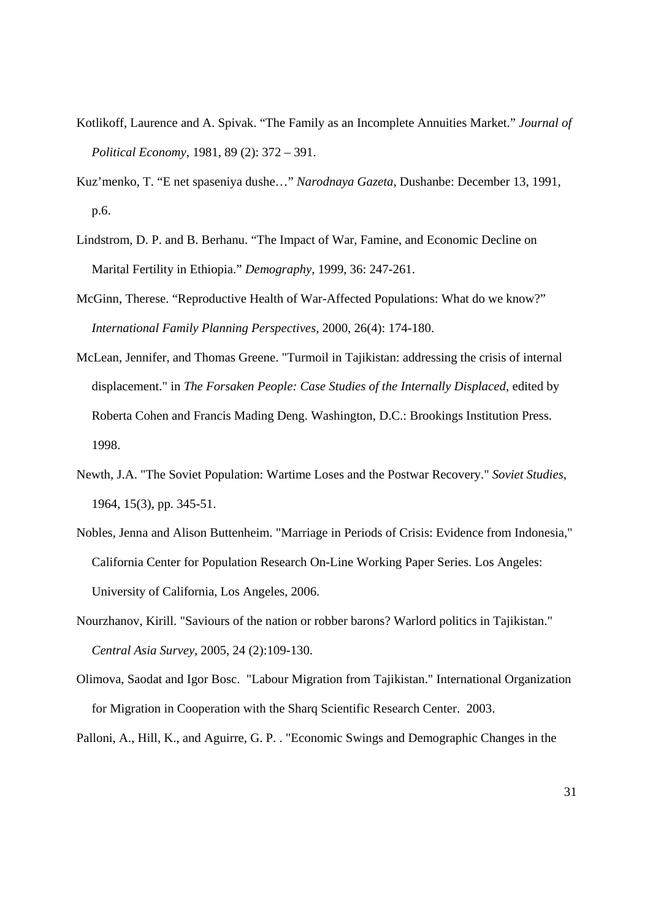- Kotlikoff, Laurence and A. Spivak. "The Family as an Incomplete Annuities Market." *Journal of Political Economy*, 1981, 89 (2): 372 – 391.
- Kuz'menko, T. "E net spaseniya dushe…" *Narodnaya Gazeta*, Dushanbe: December 13, 1991, p.6.
- Lindstrom, D. P. and B. Berhanu. "The Impact of War, Famine, and Economic Decline on Marital Fertility in Ethiopia." *Demography*, 1999, 36: 247-261.
- McGinn, Therese. "Reproductive Health of War-Affected Populations: What do we know?" *International Family Planning Perspectives*, 2000, 26(4): 174-180.
- McLean, Jennifer, and Thomas Greene. "Turmoil in Tajikistan: addressing the crisis of internal displacement." in *The Forsaken People: Case Studies of the Internally Displaced*, edited by Roberta Cohen and Francis Mading Deng. Washington, D.C.: Brookings Institution Press. 1998.
- Newth, J.A. "The Soviet Population: Wartime Loses and the Postwar Recovery." *Soviet Studies*, 1964, 15(3), pp. 345-51.
- Nobles, Jenna and Alison Buttenheim. "Marriage in Periods of Crisis: Evidence from Indonesia," California Center for Population Research On-Line Working Paper Series. Los Angeles: University of California, Los Angeles, 2006.
- Nourzhanov, Kirill. "Saviours of the nation or robber barons? Warlord politics in Tajikistan." *Central Asia Survey*, 2005, 24 (2):109-130.
- Olimova, Saodat and Igor Bosc. "Labour Migration from Tajikistan." International Organization for Migration in Cooperation with the Sharq Scientific Research Center. 2003.

Palloni, A., Hill, K., and Aguirre, G. P. . "Economic Swings and Demographic Changes in the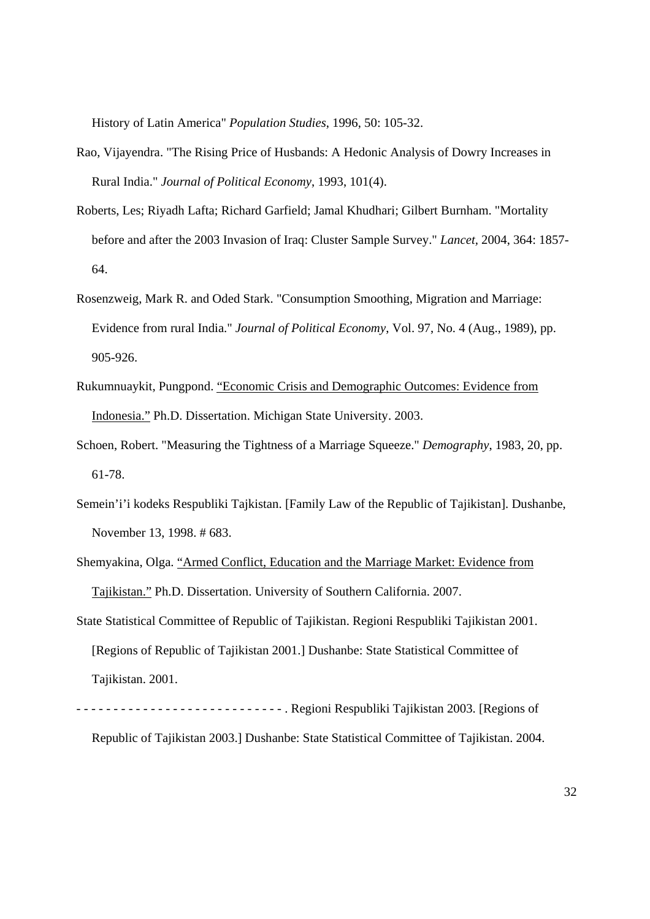History of Latin America" *Population Studies*, 1996, 50: 105-32.

- Rao, Vijayendra. "The Rising Price of Husbands: A Hedonic Analysis of Dowry Increases in Rural India." *Journal of Political Economy*, 1993, 101(4).
- Roberts, Les; Riyadh Lafta; Richard Garfield; Jamal Khudhari; Gilbert Burnham. "Mortality before and after the 2003 Invasion of Iraq: Cluster Sample Survey." *Lancet,* 2004, 364: 1857- 64.
- Rosenzweig, Mark R. and Oded Stark. "Consumption Smoothing, Migration and Marriage: Evidence from rural India." *Journal of Political Economy*, Vol. 97, No. 4 (Aug., 1989), pp. 905-926.
- Rukumnuaykit, Pungpond. "Economic Crisis and Demographic Outcomes: Evidence from Indonesia." Ph.D. Dissertation. Michigan State University. 2003.
- Schoen, Robert. "Measuring the Tightness of a Marriage Squeeze." *Demography*, 1983, 20, pp. 61-78.
- Semein'i'i kodeks Respubliki Tajkistan. [Family Law of the Republic of Tajikistan]. Dushanbe, November 13, 1998. # 683.
- Shemyakina, Olga. "Armed Conflict, Education and the Marriage Market: Evidence from Tajikistan." Ph.D. Dissertation. University of Southern California. 2007.
- State Statistical Committee of Republic of Tajikistan. Regioni Respubliki Tajikistan 2001. [Regions of Republic of Tajikistan 2001.] Dushanbe: State Statistical Committee of Tajikistan. 2001.
- - - - - - - - - - - - - - - . Regioni Respubliki Tajikistan 2003. [Regions of Republic of Tajikistan 2003.] Dushanbe: State Statistical Committee of Tajikistan. 2004.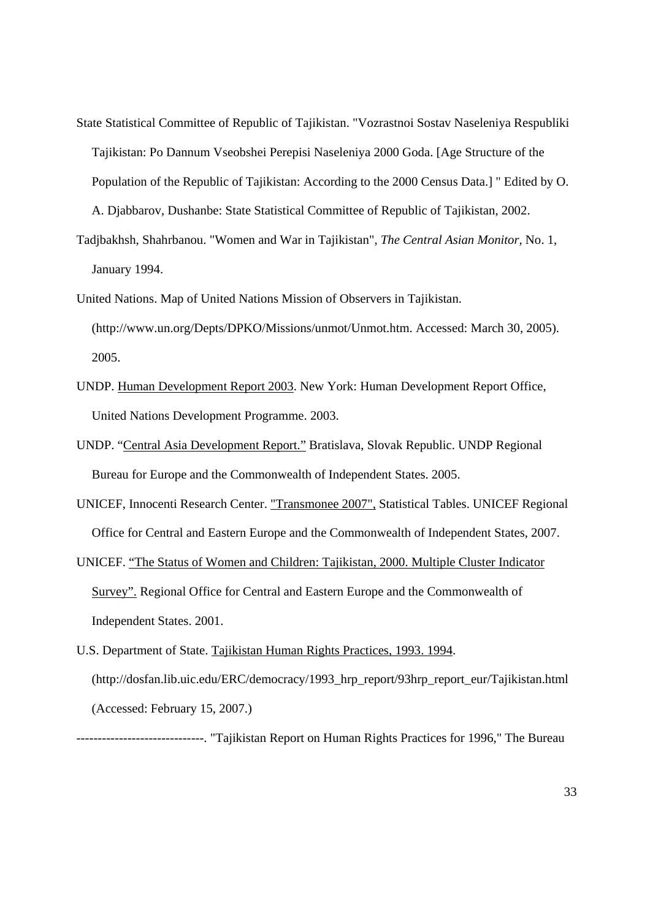- State Statistical Committee of Republic of Tajikistan. "Vozrastnoi Sostav Naseleniya Respubliki Tajikistan: Po Dannum Vseobshei Perepisi Naseleniya 2000 Goda. [Age Structure of the Population of the Republic of Tajikistan: According to the 2000 Census Data.] " Edited by O. A. Djabbarov, Dushanbe: State Statistical Committee of Republic of Tajikistan, 2002.
- Tadjbakhsh, Shahrbanou. "Women and War in Tajikistan", *The Central Asian Monitor*, No. 1, January 1994.
- United Nations. Map of United Nations Mission of Observers in Tajikistan. (http://www.un.org/Depts/DPKO/Missions/unmot/Unmot.htm. Accessed: March 30, 2005). 2005.
- UNDP. Human Development Report 2003. New York: Human Development Report Office, United Nations Development Programme. 2003.
- UNDP. "Central Asia Development Report." Bratislava, Slovak Republic. UNDP Regional Bureau for Europe and the Commonwealth of Independent States. 2005.
- UNICEF, Innocenti Research Center. "Transmonee 2007", Statistical Tables. UNICEF Regional Office for Central and Eastern Europe and the Commonwealth of Independent States, 2007.
- UNICEF. "The Status of Women and Children: Tajikistan, 2000. Multiple Cluster Indicator Survey". Regional Office for Central and Eastern Europe and the Commonwealth of Independent States. 2001.
- U.S. Department of State. Tajikistan Human Rights Practices, 1993. 1994. (http://dosfan.lib.uic.edu/ERC/democracy/1993\_hrp\_report/93hrp\_report\_eur/Tajikistan.html (Accessed: February 15, 2007.)

------------------------------. "Tajikistan Report on Human Rights Practices for 1996," The Bureau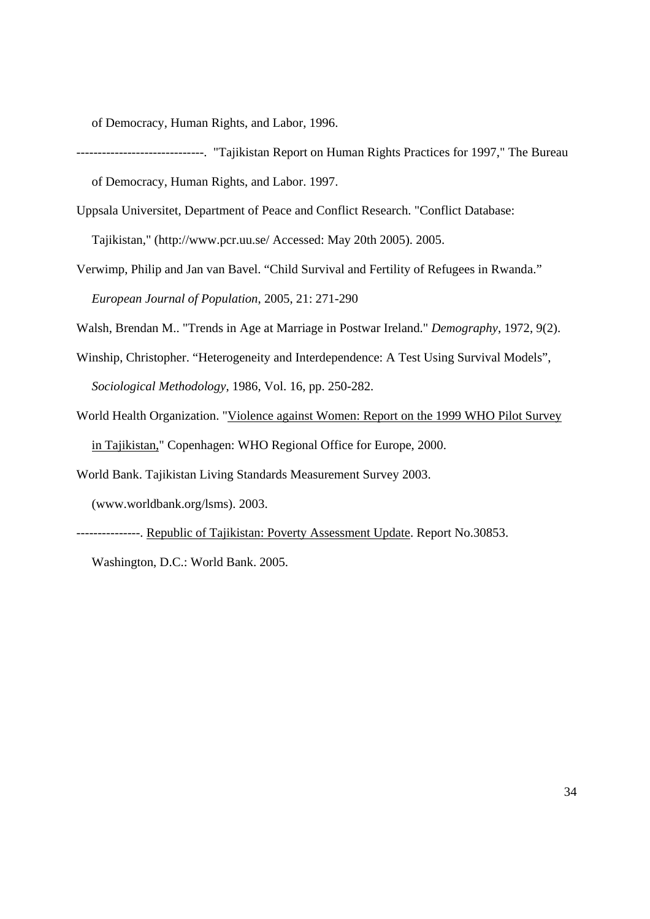of Democracy, Human Rights, and Labor, 1996.

- ------------------------------. "Tajikistan Report on Human Rights Practices for 1997," The Bureau of Democracy, Human Rights, and Labor. 1997.
- Uppsala Universitet, Department of Peace and Conflict Research. "Conflict Database:

Tajikistan," (http://www.pcr.uu.se/ Accessed: May 20th 2005). 2005.

Verwimp, Philip and Jan van Bavel. "Child Survival and Fertility of Refugees in Rwanda." *European Journal of Population*, 2005, 21: 271-290

Walsh, Brendan M.. "Trends in Age at Marriage in Postwar Ireland." *Demography*, 1972, 9(2).

- Winship, Christopher. "Heterogeneity and Interdependence: A Test Using Survival Models", *Sociological Methodology*, 1986, Vol. 16, pp. 250-282.
- World Health Organization. "Violence against Women: Report on the 1999 WHO Pilot Survey in Tajikistan," Copenhagen: WHO Regional Office for Europe, 2000.

World Bank. Tajikistan Living Standards Measurement Survey 2003.

(www.worldbank.org/lsms). 2003.

---------------. Republic of Tajikistan: Poverty Assessment Update. Report No.30853.

Washington, D.C.: World Bank. 2005.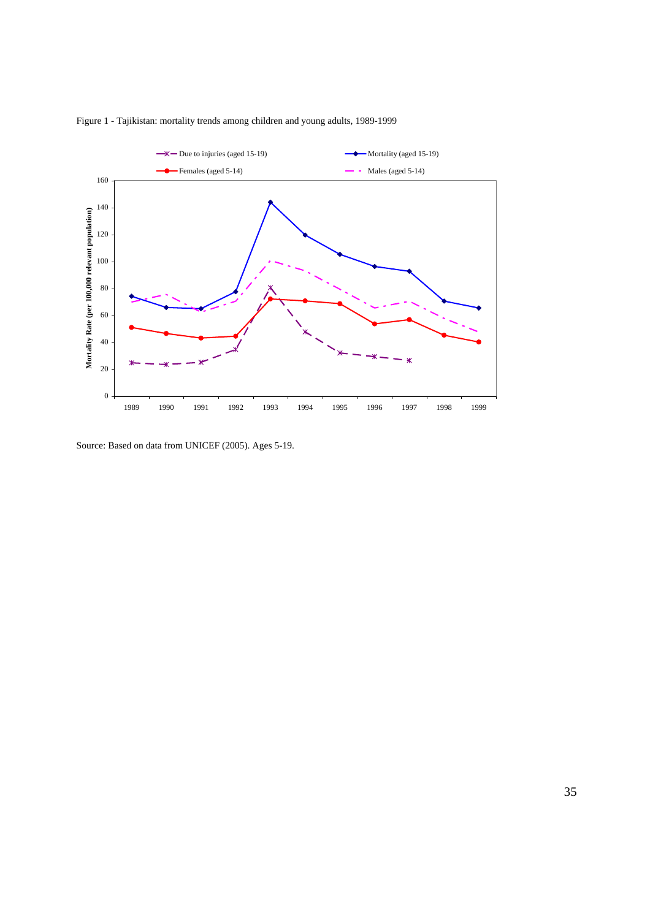

Figure 1 - Tajikistan: mortality trends among children and young adults, 1989-1999

Source: Based on data from UNICEF (2005). Ages 5-19.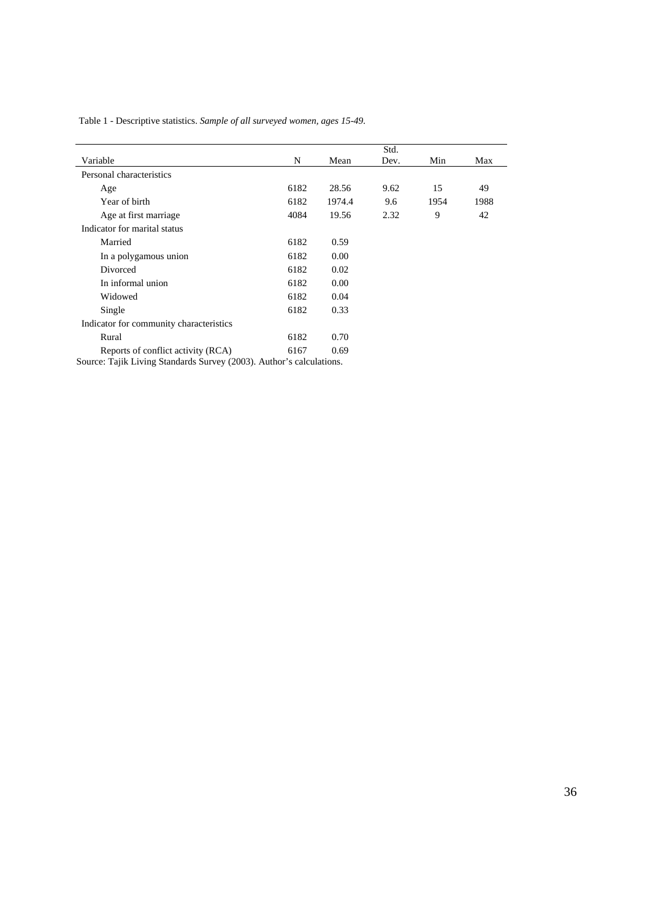|                                                                      |      |        | Std. |      |      |  |
|----------------------------------------------------------------------|------|--------|------|------|------|--|
| Variable                                                             | N    | Mean   | Dev. | Min  | Max  |  |
| Personal characteristics                                             |      |        |      |      |      |  |
| Age                                                                  | 6182 | 28.56  | 9.62 | 15   | 49   |  |
| Year of birth                                                        | 6182 | 1974.4 | 9.6  | 1954 | 1988 |  |
| Age at first marriage                                                | 4084 | 19.56  | 2.32 | 9    | 42   |  |
| Indicator for marital status                                         |      |        |      |      |      |  |
| Married                                                              | 6182 | 0.59   |      |      |      |  |
| In a polygamous union                                                | 6182 | 0.00   |      |      |      |  |
| Divorced                                                             | 6182 | 0.02   |      |      |      |  |
| In informal union                                                    | 6182 | 0.00   |      |      |      |  |
| Widowed                                                              | 6182 | 0.04   |      |      |      |  |
| Single                                                               | 6182 | 0.33   |      |      |      |  |
| Indicator for community characteristics                              |      |        |      |      |      |  |
| Rural                                                                | 6182 | 0.70   |      |      |      |  |
| Reports of conflict activity (RCA)                                   | 6167 | 0.69   |      |      |      |  |
| Source: Tajik Living Standards Survey (2003). Author's calculations. |      |        |      |      |      |  |

Table 1 - Descriptive statistics. *Sample of all surveyed women, ages 15-49.*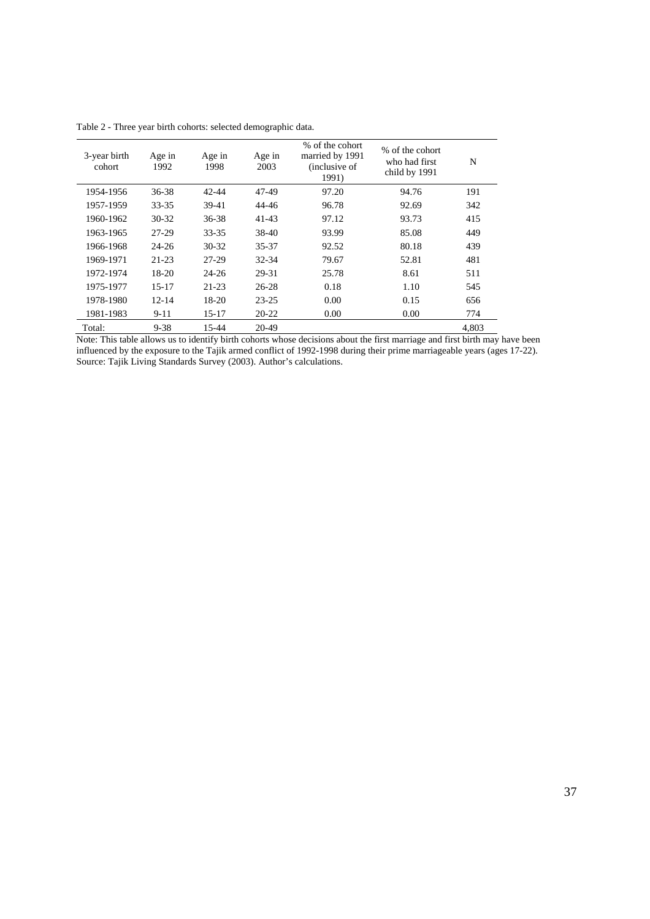| 3-year birth<br>cohort | Age in<br>1992 | Age in<br>1998 | Age in<br>2003 | % of the cohort<br>married by 1991<br>(inclusive of<br>1991) | % of the cohort<br>who had first<br>child by 1991 | N     |
|------------------------|----------------|----------------|----------------|--------------------------------------------------------------|---------------------------------------------------|-------|
| 1954-1956              | 36-38          | 42-44          | 47-49          | 97.20                                                        | 94.76                                             | 191   |
| 1957-1959              | $33 - 35$      | 39-41          | 44-46          | 96.78                                                        | 92.69                                             | 342   |
| 1960-1962              | $30 - 32$      | $36 - 38$      | $41 - 43$      | 97.12                                                        | 93.73                                             | 415   |
| 1963-1965              | 27-29          | $33 - 35$      | 38-40          | 93.99                                                        | 85.08                                             | 449   |
| 1966-1968              | $24 - 26$      | $30 - 32$      | 35-37          | 92.52                                                        | 80.18                                             | 439   |
| 1969-1971              | $21 - 23$      | 27-29          | $32 - 34$      | 79.67                                                        | 52.81                                             | 481   |
| 1972-1974              | $18-20$        | $24 - 26$      | 29-31          | 25.78                                                        | 8.61                                              | 511   |
| 1975-1977              | $15 - 17$      | $21 - 23$      | $26 - 28$      | 0.18                                                         | 1.10                                              | 545   |
| 1978-1980              | $12 - 14$      | $18-20$        | $23 - 25$      | 0.00                                                         | 0.15                                              | 656   |
| 1981-1983              | $9 - 11$       | 15-17          | $20 - 22$      | 0.00                                                         | 0.00                                              | 774   |
| Total:                 | $9 - 38$       | 15-44          | $20 - 49$      |                                                              |                                                   | 4,803 |

Table 2 - Three year birth cohorts: selected demographic data.

Note: This table allows us to identify birth cohorts whose decisions about the first marriage and first birth may have been influenced by the exposure to the Tajik armed conflict of 1992-1998 during their prime marriageable years (ages 17-22). Source: Tajik Living Standards Survey (2003). Author's calculations.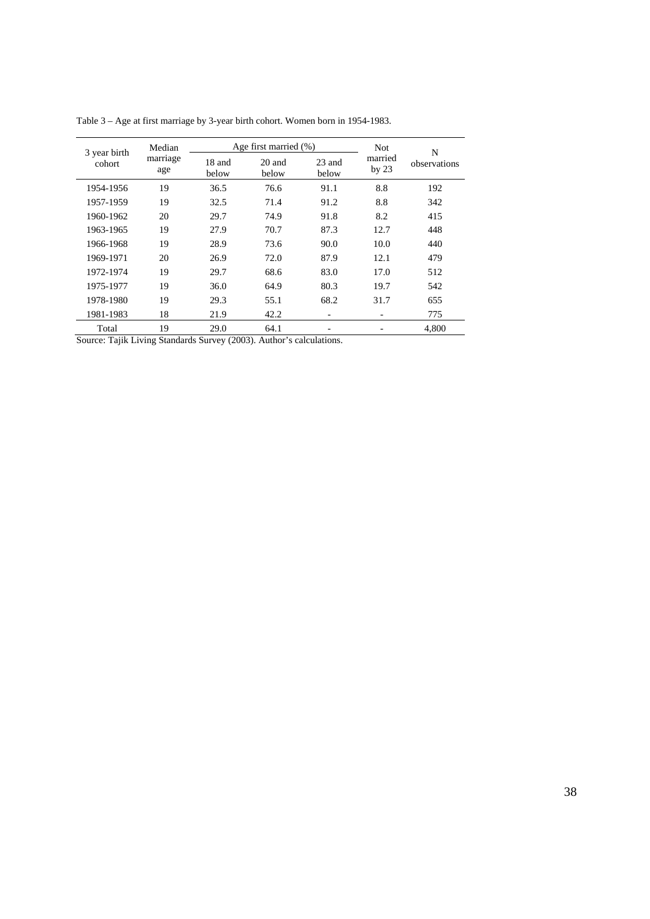| 3 year birth              | Median |                 | Age first married $(\%)$ | <b>Not</b>      | N                  |              |  |
|---------------------------|--------|-----------------|--------------------------|-----------------|--------------------|--------------|--|
| marriage<br>cohort<br>age |        | 18 and<br>below | 20 and<br>below          | 23 and<br>below | married<br>by $23$ | observations |  |
| 1954-1956                 | 19     | 36.5            | 76.6                     | 91.1            | 8.8                | 192          |  |
| 1957-1959                 | 19     | 32.5            | 71.4                     | 91.2            | 8.8                | 342          |  |
| 1960-1962                 | 20     | 29.7            | 74.9                     | 91.8            | 8.2                | 415          |  |
| 1963-1965                 | 19     | 27.9            | 70.7                     | 87.3            | 12.7               | 448          |  |
| 1966-1968                 | 19     | 28.9            | 73.6                     | 90.0            | 10.0               | 440          |  |
| 1969-1971                 | 20     | 26.9            | 72.0                     | 87.9            | 12.1               | 479          |  |
| 1972-1974                 | 19     | 29.7            | 68.6                     | 83.0            | 17.0               | 512          |  |
| 1975-1977                 | 19     | 36.0            | 64.9                     | 80.3            | 19.7               | 542          |  |
| 1978-1980                 | 19     | 29.3            | 55.1                     | 68.2            | 31.7               | 655          |  |
| 1981-1983                 | 18     | 21.9            | 42.2                     |                 |                    | 775          |  |
| Total                     | 19     | 29.0            | 64.1                     |                 |                    | 4,800        |  |

Table 3 – Age at first marriage by 3-year birth cohort. Women born in 1954-1983.

Source: Tajik Living Standards Survey (2003). Author's calculations.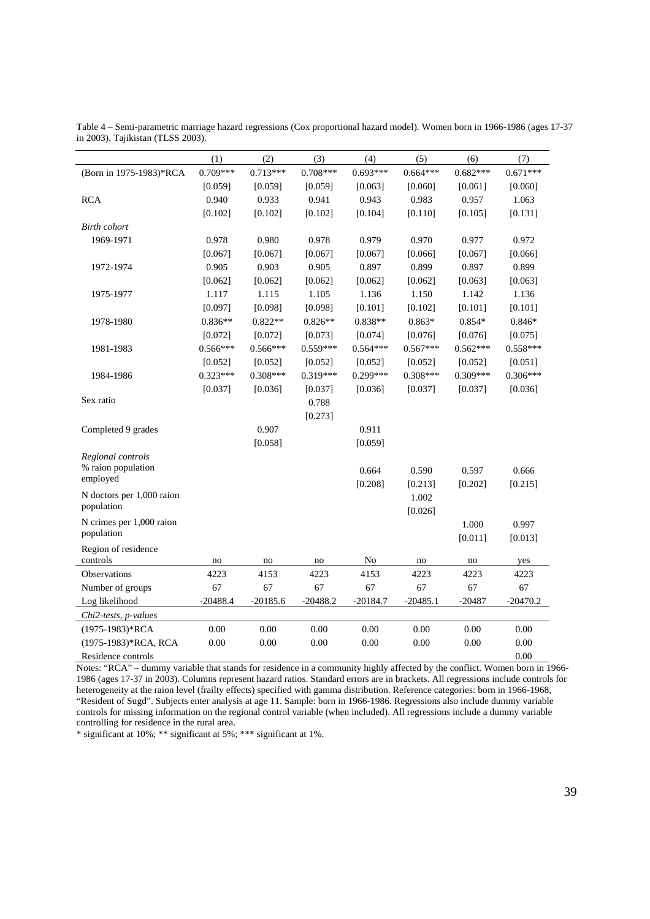|                           | (1)        | (2)        | (3)        | (4)        | (5)        | (6)        | (7)        |
|---------------------------|------------|------------|------------|------------|------------|------------|------------|
| (Born in 1975-1983)*RCA   | $0.709***$ | $0.713***$ | $0.708***$ | $0.693***$ | $0.664***$ | $0.682***$ | $0.671***$ |
|                           | [0.059]    | [0.059]    | [0.059]    | [0.063]    | [0.060]    | [0.061]    | [0.060]    |
| <b>RCA</b>                | 0.940      | 0.933      | 0.941      | 0.943      | 0.983      | 0.957      | 1.063      |
|                           | [0.102]    | [0.102]    | [0.102]    | [0.104]    | [0.110]    | [0.105]    | [0.131]    |
| <b>Birth</b> cohort       |            |            |            |            |            |            |            |
| 1969-1971                 | 0.978      | 0.980      | 0.978      | 0.979      | 0.970      | 0.977      | 0.972      |
|                           | [0.067]    | [0.067]    | [0.067]    | [0.067]    | [0.066]    | [0.067]    | [0.066]    |
| 1972-1974                 | 0.905      | 0.903      | 0.905      | 0.897      | 0.899      | 0.897      | 0.899      |
|                           | [0.062]    | [0.062]    | [0.062]    | [0.062]    | [0.062]    | [0.063]    | [0.063]    |
| 1975-1977                 | 1.117      | 1.115      | 1.105      | 1.136      | 1.150      | 1.142      | 1.136      |
|                           | [0.097]    | [0.098]    | [0.098]    | [0.101]    | [0.102]    | [0.101]    | [0.101]    |
| 1978-1980                 | $0.836**$  | $0.822**$  | $0.826**$  | $0.838**$  | $0.863*$   | $0.854*$   | $0.846*$   |
|                           | [0.072]    | [0.072]    | [0.073]    | [0.074]    | [0.076]    | [0.076]    | [0.075]    |
| 1981-1983                 | $0.566***$ | $0.566***$ | 0.559***   | $0.564***$ | $0.567***$ | $0.562***$ | $0.558***$ |
|                           | [0.052]    | [0.052]    | [0.052]    | [0.052]    | [0.052]    | [0.052]    | [0.051]    |
| 1984-1986                 | $0.323***$ | $0.308***$ | 0.319***   | 0.299***   | $0.308***$ | $0.309***$ | $0.306***$ |
|                           | [0.037]    | [0.036]    | [0.037]    | [0.036]    | [0.037]    | [0.037]    | [0.036]    |
| Sex ratio                 |            |            | 0.788      |            |            |            |            |
|                           |            |            | [0.273]    |            |            |            |            |
| Completed 9 grades        |            | 0.907      |            | 0.911      |            |            |            |
|                           |            | [0.058]    |            | [0.059]    |            |            |            |
| Regional controls         |            |            |            |            |            |            |            |
| % raion population        |            |            |            | 0.664      | 0.590      | 0.597      | 0.666      |
| employed                  |            |            |            | [0.208]    | [0.213]    | [0.202]    | [0.215]    |
| N doctors per 1,000 raion |            |            |            |            | 1.002      |            |            |
| population                |            |            |            |            | [0.026]    |            |            |
| N crimes per 1,000 raion  |            |            |            |            |            | 1.000      | 0.997      |
| population                |            |            |            |            |            | [0.011]    | [0.013]    |
| Region of residence       |            |            |            |            |            |            |            |
| controls                  | no         | no         | no         | No         | no         | no         | yes        |
| <b>Observations</b>       | 4223       | 4153       | 4223       | 4153       | 4223       | 4223       | 4223       |
| Number of groups          | 67         | 67         | 67         | 67         | 67         | 67         | 67         |
| Log likelihood            | $-20488.4$ | $-20185.6$ | $-20488.2$ | $-20184.7$ | $-20485.1$ | $-20487$   | $-20470.2$ |
| Chi2-tests, p-values      |            |            |            |            |            |            |            |
| (1975-1983)*RCA           | 0.00       | 0.00       | 0.00       | 0.00       | 0.00       | 0.00       | 0.00       |
| (1975-1983)*RCA, RCA      | 0.00       | 0.00       | 0.00       | 0.00       | 0.00       | 0.00       | 0.00       |
| Residence controls        |            |            |            |            |            |            | 0.00       |

Table 4 – Semi-parametric marriage hazard regressions (Cox proportional hazard model). Women born in 1966-1986 (ages 17-37 in 2003). Tajikistan (TLSS 2003).

Notes: "RCA" – dummy variable that stands for residence in a community highly affected by the conflict. Women born in 1966- 1986 (ages 17-37 in 2003). Columns represent hazard ratios. Standard errors are in brackets. All regressions include controls for heterogeneity at the raion level (frailty effects) specified with gamma distribution. Reference categories: born in 1966-1968, "Resident of Sugd". Subjects enter analysis at age 11. Sample: born in 1966-1986. Regressions also include dummy variable controls for missing information on the regional control variable (when included). All regressions include a dummy variable controlling for residence in the rural area.

\* significant at 10%; \*\* significant at 5%; \*\*\* significant at 1%.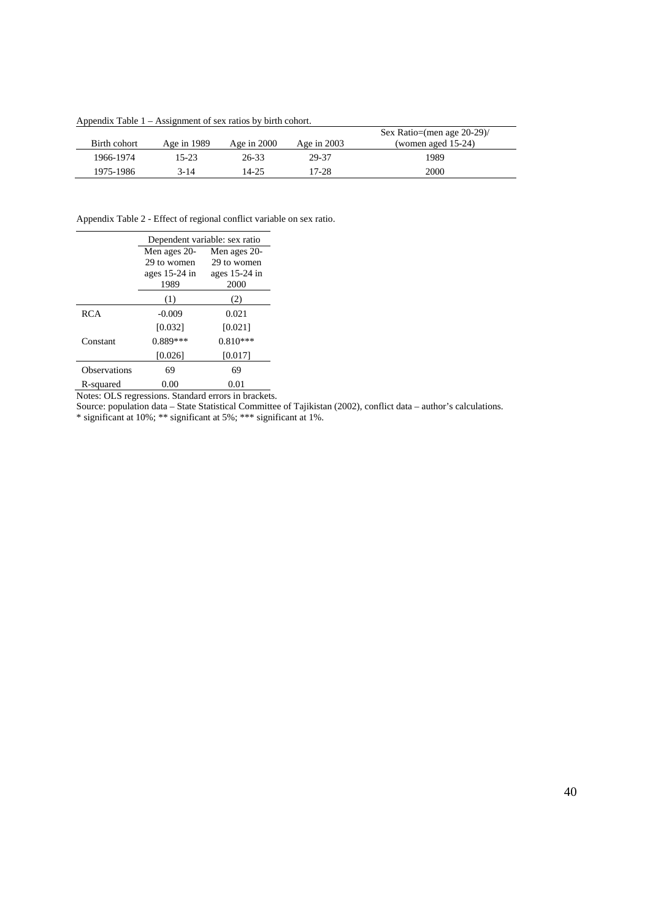Appendix Table 1 – Assignment of sex ratios by birth cohort.

|              |               |               |               | Sex Ratio=(men age $20-29$ ) |
|--------------|---------------|---------------|---------------|------------------------------|
| Birth cohort | Age in $1989$ | Age in $2000$ | Age in $2003$ | (women aged $15-24$ )        |
| 1966-1974    | 15-23         | 26-33         | 29-37         | 1989                         |
| 1975-1986    | 3-14          | 14-25         | 17-28         | 2000                         |

Appendix Table 2 - Effect of regional conflict variable on sex ratio.

|                     | Dependent variable: sex ratio |               |  |  |  |  |  |
|---------------------|-------------------------------|---------------|--|--|--|--|--|
|                     | Men ages 20-                  | Men ages 20-  |  |  |  |  |  |
|                     | 29 to women                   | 29 to women   |  |  |  |  |  |
|                     | ages $15-24$ in               | ages 15-24 in |  |  |  |  |  |
|                     | 1989                          | 2000          |  |  |  |  |  |
|                     | (1)                           | (2)           |  |  |  |  |  |
| <b>RCA</b>          | $-0.009$                      | 0.021         |  |  |  |  |  |
|                     | [0.032]                       | [0.021]       |  |  |  |  |  |
| Constant            | $0.889***$                    | $0.810***$    |  |  |  |  |  |
|                     | [0.026]                       | [0.017]       |  |  |  |  |  |
| <b>Observations</b> | 69                            | 69            |  |  |  |  |  |
| R-squared           | 0.00                          | 0.01          |  |  |  |  |  |

Notes: OLS regressions. Standard errors in brackets.

Source: population data – State Statistical Committee of Tajikistan (2002), conflict data – author's calculations.

\* significant at 10%; \*\* significant at 5%; \*\*\* significant at 1%.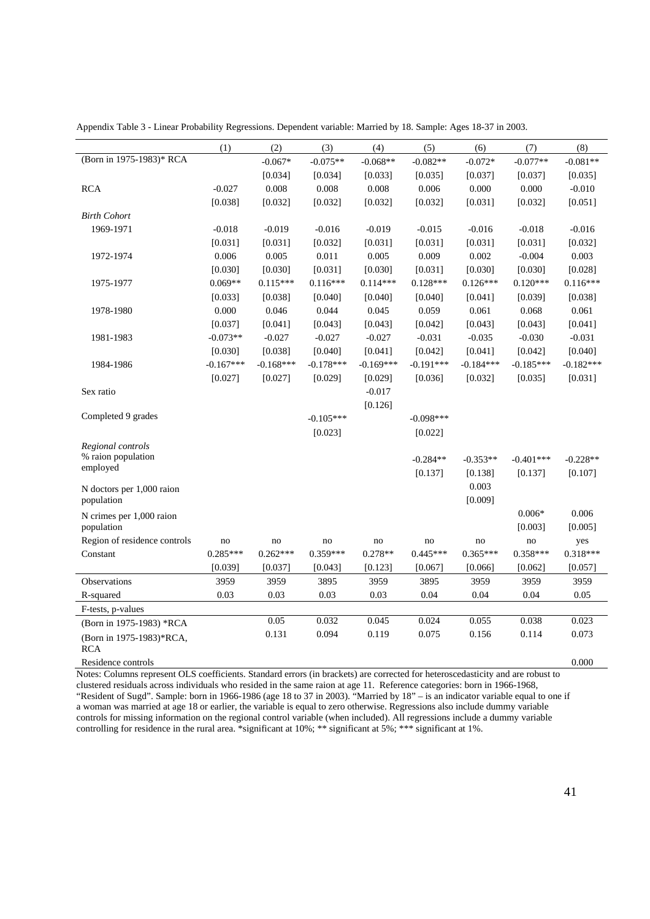|                                | (1)         | (2)         | (3)         | (4)         | (5)         | (6)         | (7)         | (8)         |
|--------------------------------|-------------|-------------|-------------|-------------|-------------|-------------|-------------|-------------|
| (Born in 1975-1983)* RCA       |             | $-0.067*$   | $-0.075**$  | $-0.068**$  | $-0.082**$  | $-0.072*$   | $-0.077**$  | $-0.081**$  |
|                                |             | [0.034]     | [0.034]     | [0.033]     | [0.035]     | [0.037]     | [0.037]     | [0.035]     |
| <b>RCA</b>                     | $-0.027$    | 0.008       | 0.008       | 0.008       | 0.006       | 0.000       | 0.000       | $-0.010$    |
|                                | [0.038]     | [0.032]     | [0.032]     | [0.032]     | [0.032]     | [0.031]     | [0.032]     | [0.051]     |
| <b>Birth Cohort</b>            |             |             |             |             |             |             |             |             |
| 1969-1971                      | $-0.018$    | $-0.019$    | $-0.016$    | $-0.019$    | $-0.015$    | $-0.016$    | $-0.018$    | $-0.016$    |
|                                | [0.031]     | [0.031]     | [0.032]     | [0.031]     | [0.031]     | [0.031]     | [0.031]     | [0.032]     |
| 1972-1974                      | 0.006       | 0.005       | 0.011       | 0.005       | 0.009       | 0.002       | $-0.004$    | 0.003       |
|                                | [0.030]     | [0.030]     | [0.031]     | [0.030]     | [0.031]     | [0.030]     | [0.030]     | [0.028]     |
| 1975-1977                      | $0.069**$   | $0.115***$  | $0.116***$  | $0.114***$  | $0.128***$  | $0.126***$  | $0.120***$  | $0.116***$  |
|                                | [0.033]     | [0.038]     | [0.040]     | [0.040]     | [0.040]     | [0.041]     | [0.039]     | [0.038]     |
| 1978-1980                      | 0.000       | 0.046       | 0.044       | 0.045       | 0.059       | 0.061       | 0.068       | 0.061       |
|                                | [0.037]     | [0.041]     | [0.043]     | [0.043]     | [0.042]     | [0.043]     | [0.043]     | [0.041]     |
| 1981-1983                      | $-0.073**$  | $-0.027$    | $-0.027$    | $-0.027$    | $-0.031$    | $-0.035$    | $-0.030$    | $-0.031$    |
|                                | [0.030]     | [0.038]     | [0.040]     | [0.041]     | [0.042]     | [0.041]     | [0.042]     | [0.040]     |
| 1984-1986                      | $-0.167***$ | $-0.168***$ | $-0.178***$ | $-0.169***$ | $-0.191***$ | $-0.184***$ | $-0.185***$ | $-0.182***$ |
|                                | [0.027]     | [0.027]     | [0.029]     | [0.029]     | [0.036]     | [0.032]     | [0.035]     | [0.031]     |
| Sex ratio                      |             |             |             | $-0.017$    |             |             |             |             |
|                                |             |             |             | [0.126]     |             |             |             |             |
| Completed 9 grades             |             |             | $-0.105***$ |             | $-0.098***$ |             |             |             |
|                                |             |             | [0.023]     |             | [0.022]     |             |             |             |
| Regional controls              |             |             |             |             |             |             |             |             |
| % raion population<br>employed |             |             |             |             | $-0.284**$  | $-0.353**$  | $-0.401***$ | $-0.228**$  |
|                                |             |             |             |             | [0.137]     | [0.138]     | [0.137]     | [0.107]     |
| N doctors per 1,000 raion      |             |             |             |             |             | 0.003       |             |             |
| population                     |             |             |             |             |             | [0.009]     |             |             |
| N crimes per 1,000 raion       |             |             |             |             |             |             | $0.006*$    | 0.006       |
| population                     |             |             |             |             |             |             | [0.003]     | [0.005]     |
| Region of residence controls   | no          | no          | no          | no          | no          | no          | no          | yes         |
| Constant                       | $0.285***$  | $0.262***$  | $0.359***$  | $0.278**$   | $0.445***$  | $0.365***$  | $0.358***$  | $0.318***$  |
|                                | [0.039]     | [0.037]     | [0.043]     | [0.123]     | [0.067]     | [0.066]     | [0.062]     | [0.057]     |
| Observations                   | 3959        | 3959        | 3895        | 3959        | 3895        | 3959        | 3959        | 3959        |
| R-squared                      | 0.03        | 0.03        | 0.03        | 0.03        | 0.04        | 0.04        | 0.04        | 0.05        |
| F-tests, p-values              |             |             |             |             |             |             |             |             |
| (Born in 1975-1983) *RCA       |             | 0.05        | 0.032       | 0.045       | 0.024       | 0.055       | 0.038       | 0.023       |
| (Born in 1975-1983)*RCA,       |             | 0.131       | 0.094       | 0.119       | 0.075       | 0.156       | 0.114       | 0.073       |
| <b>RCA</b>                     |             |             |             |             |             |             |             |             |
| Residence controls             |             |             |             |             |             |             |             | 0.000       |

Appendix Table 3 - Linear Probability Regressions. Dependent variable: Married by 18. Sample: Ages 18-37 in 2003.

Notes: Columns represent OLS coefficients. Standard errors (in brackets) are corrected for heteroscedasticity and are robust to clustered residuals across individuals who resided in the same raion at age 11. Reference categories: born in 1966-1968, "Resident of Sugd". Sample: born in 1966-1986 (age 18 to 37 in 2003). "Married by 18" – is an indicator variable equal to one if a woman was married at age 18 or earlier, the variable is equal to zero otherwise. Regressions also include dummy variable controls for missing information on the regional control variable (when included). All regressions include a dummy variable controlling for residence in the rural area. \*significant at 10%; \*\* significant at 5%; \*\*\* significant at 1%.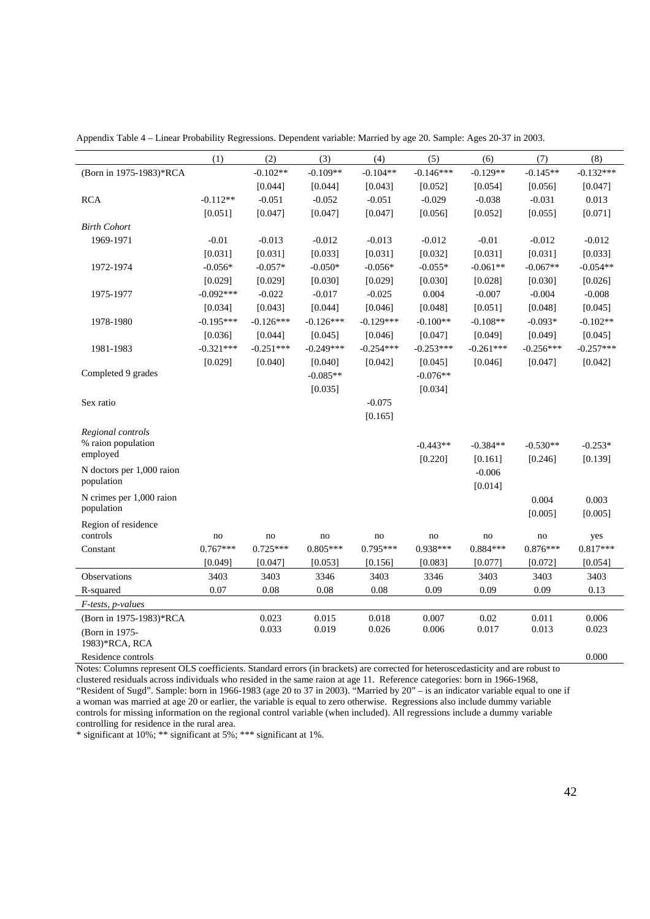| Appendix Table 4 – Linear Probability Regressions. Dependent variable: Married by age 20. Sample: Ages 20-37 in 2003. |  |  |  |  |
|-----------------------------------------------------------------------------------------------------------------------|--|--|--|--|
|-----------------------------------------------------------------------------------------------------------------------|--|--|--|--|

|                           | (1)         | (2)         | (3)         | (4)         | (5)         | (6)         | (7)         | (8)         |
|---------------------------|-------------|-------------|-------------|-------------|-------------|-------------|-------------|-------------|
| (Born in 1975-1983)*RCA   |             | $-0.102**$  | $-0.109**$  | $-0.104**$  | $-0.146***$ | $-0.129**$  | $-0.145**$  | $-0.132***$ |
|                           |             | [0.044]     | [0.044]     | [0.043]     | [0.052]     | [0.054]     | [0.056]     | [0.047]     |
| <b>RCA</b>                | $-0.112**$  | $-0.051$    | $-0.052$    | $-0.051$    | $-0.029$    | $-0.038$    | $-0.031$    | 0.013       |
|                           | [0.051]     | [0.047]     | [0.047]     | [0.047]     | [0.056]     | [0.052]     | [0.055]     | [0.071]     |
| <b>Birth Cohort</b>       |             |             |             |             |             |             |             |             |
| 1969-1971                 | $-0.01$     | $-0.013$    | $-0.012$    | $-0.013$    | $-0.012$    | $-0.01$     | $-0.012$    | $-0.012$    |
|                           | [0.031]     | [0.031]     | [0.033]     | [0.031]     | [0.032]     | [0.031]     | [0.031]     | [0.033]     |
| 1972-1974                 | $-0.056*$   | $-0.057*$   | $-0.050*$   | $-0.056*$   | $-0.055*$   | $-0.061**$  | $-0.067**$  | $-0.054**$  |
|                           | [0.029]     | [0.029]     | [0.030]     | [0.029]     | [0.030]     | [0.028]     | [0.030]     | [0.026]     |
| 1975-1977                 | $-0.092***$ | $-0.022$    | $-0.017$    | $-0.025$    | 0.004       | $-0.007$    | $-0.004$    | $-0.008$    |
|                           | [0.034]     | [0.043]     | [0.044]     | [0.046]     | [0.048]     | [0.051]     | [0.048]     | [0.045]     |
| 1978-1980                 | $-0.195***$ | $-0.126***$ | $-0.126***$ | $-0.129***$ | $-0.100**$  | $-0.108**$  | $-0.093*$   | $-0.102**$  |
|                           | [0.036]     | [0.044]     | [0.045]     | [0.046]     | [0.047]     | [0.049]     | [0.049]     | [0.045]     |
| 1981-1983                 | $-0.321***$ | $-0.251***$ | $-0.249***$ | $-0.254***$ | $-0.253***$ | $-0.261***$ | $-0.256***$ | $-0.257***$ |
|                           | [0.029]     | [0.040]     | [0.040]     | [0.042]     | [0.045]     | [0.046]     | [0.047]     | [0.042]     |
| Completed 9 grades        |             |             | $-0.085**$  |             | $-0.076**$  |             |             |             |
|                           |             |             | [0.035]     |             | [0.034]     |             |             |             |
| Sex ratio                 |             |             |             | $-0.075$    |             |             |             |             |
|                           |             |             |             | [0.165]     |             |             |             |             |
| Regional controls         |             |             |             |             |             |             |             |             |
| % raion population        |             |             |             |             | $-0.443**$  | $-0.384**$  | $-0.530**$  | $-0.253*$   |
| employed                  |             |             |             |             | [0.220]     | [0.161]     | [0.246]     | [0.139]     |
| N doctors per 1,000 raion |             |             |             |             |             | $-0.006$    |             |             |
| population                |             |             |             |             |             | [0.014]     |             |             |
| N crimes per 1,000 raion  |             |             |             |             |             |             | 0.004       | 0.003       |
| population                |             |             |             |             |             |             | [0.005]     | [0.005]     |
| Region of residence       |             |             |             |             |             |             |             |             |
| controls                  | no          | no          | no          | no          | no          | no          | no          | yes         |
| Constant                  | $0.767***$  | $0.725***$  | $0.805***$  | 0.795***    | $0.938***$  | $0.884***$  | $0.876***$  | $0.817***$  |
|                           | [0.049]     | [0.047]     | [0.053]     | [0.156]     | [0.083]     | [0.077]     | [0.072]     | [0.054]     |
| Observations              | 3403        | 3403        | 3346        | 3403        | 3346        | 3403        | 3403        | 3403        |
| R-squared                 | 0.07        | 0.08        | 0.08        | 0.08        | 0.09        | 0.09        | 0.09        | 0.13        |
| F-tests, p-values         |             |             |             |             |             |             |             |             |
| (Born in 1975-1983)*RCA   |             | 0.023       | 0.015       | 0.018       | 0.007       | 0.02        | 0.011       | 0.006       |
| (Born in 1975-            |             | 0.033       | 0.019       | 0.026       | 0.006       | 0.017       | 0.013       | 0.023       |
| 1983)*RCA, RCA            |             |             |             |             |             |             |             |             |
| Residence controls        |             |             |             |             |             |             |             | 0.000       |

Notes: Columns represent OLS coefficients. Standard errors (in brackets) are corrected for heteroscedasticity and are robust to clustered residuals across individuals who resided in the same raion at age 11. Reference categories: born in 1966-1968, "Resident of Sugd". Sample: born in 1966-1983 (age 20 to 37 in 2003). "Married by 20" – is an indicator variable equal to one if a woman was married at age 20 or earlier, the variable is equal to zero otherwise. Regressions also include dummy variable controls for missing information on the regional control variable (when included). All regressions include a dummy variable controlling for residence in the rural area.

\* significant at 10%; \*\* significant at 5%; \*\*\* significant at 1%.